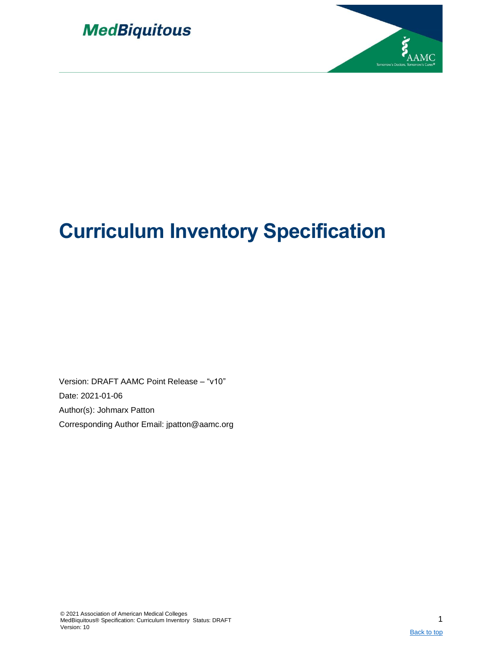



# **Curriculum Inventory Specification**

Version: DRAFT AAMC Point Release – "v10" Date: 2021-01-06 Author(s): Johmarx Patton Corresponding Author Email: jpatton@aamc.org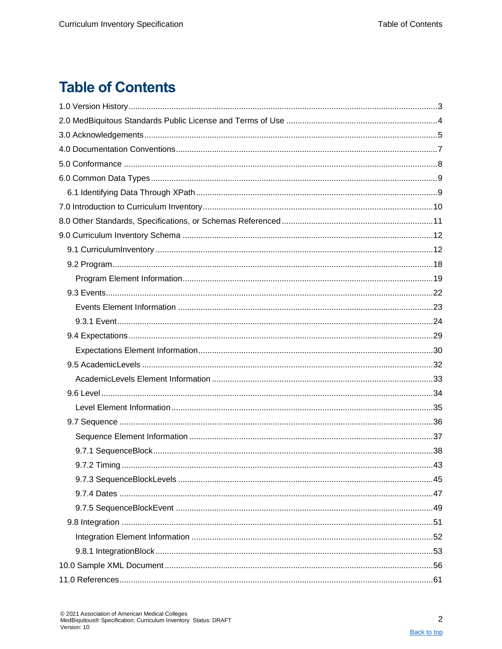## <span id="page-1-1"></span><span id="page-1-0"></span>**Table of Contents**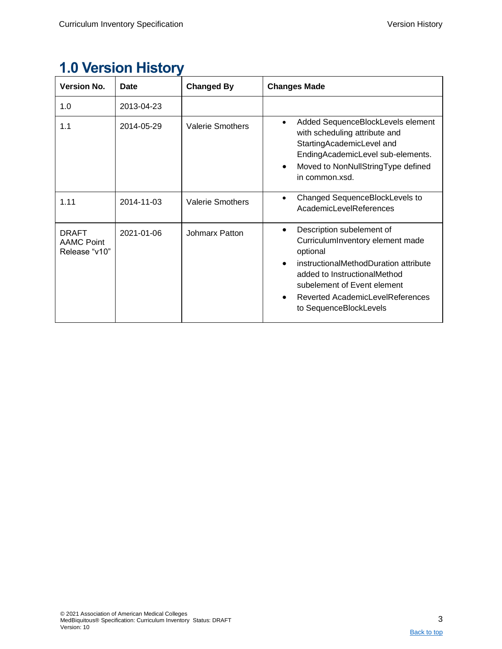<span id="page-2-0"></span>

| <b>1.0 Version History</b> |  |
|----------------------------|--|
|                            |  |

| <b>Version No.</b>                                 | <b>Date</b> | <b>Changed By</b>       | <b>Changes Made</b>                                                                                                                                                                                                                                          |
|----------------------------------------------------|-------------|-------------------------|--------------------------------------------------------------------------------------------------------------------------------------------------------------------------------------------------------------------------------------------------------------|
| 1.0                                                | 2013-04-23  |                         |                                                                                                                                                                                                                                                              |
| 1.1                                                | 2014-05-29  | <b>Valerie Smothers</b> | Added SequenceBlockLevels element<br>$\bullet$<br>with scheduling attribute and<br>StartingAcademicLevel and<br>EndingAcademicLevel sub-elements.<br>Moved to NonNullStringType defined<br>in common.xsd.                                                    |
| 1.11                                               | 2014-11-03  | <b>Valerie Smothers</b> | Changed SequenceBlockLevels to<br>AcademicLevelReferences                                                                                                                                                                                                    |
| <b>DRAFT</b><br><b>AAMC Point</b><br>Release "v10" | 2021-01-06  | Johmarx Patton          | Description subelement of<br>$\bullet$<br>CurriculumInventory element made<br>optional<br>instructionalMethodDuration attribute<br>added to InstructionalMethod<br>subelement of Event element<br>Reverted AcademicLevelReferences<br>to SequenceBlockLevels |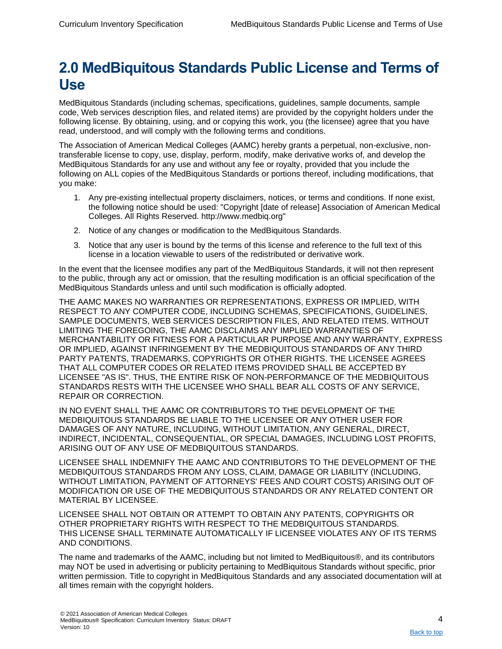## <span id="page-3-0"></span>**2.0 MedBiquitous Standards Public License and Terms of Use**

MedBiquitous Standards (including schemas, specifications, guidelines, sample documents, sample code, Web services description files, and related items) are provided by the copyright holders under the following license. By obtaining, using, and or copying this work, you (the licensee) agree that you have read, understood, and will comply with the following terms and conditions.

The Association of American Medical Colleges (AAMC) hereby grants a perpetual, non-exclusive, nontransferable license to copy, use, display, perform, modify, make derivative works of, and develop the MedBiquitous Standards for any use and without any fee or royalty, provided that you include the following on ALL copies of the MedBiquitous Standards or portions thereof, including modifications, that you make:

- 1. Any pre-existing intellectual property disclaimers, notices, or terms and conditions. If none exist, the following notice should be used: "Copyright [date of release] Association of American Medical Colleges. All Rights Reserved. http://www.medbiq.org"
- 2. Notice of any changes or modification to the MedBiquitous Standards.
- 3. Notice that any user is bound by the terms of this license and reference to the full text of this license in a location viewable to users of the redistributed or derivative work.

In the event that the licensee modifies any part of the MedBiquitous Standards, it will not then represent to the public, through any act or omission, that the resulting modification is an official specification of the MedBiquitous Standards unless and until such modification is officially adopted.

THE AAMC MAKES NO WARRANTIES OR REPRESENTATIONS, EXPRESS OR IMPLIED, WITH RESPECT TO ANY COMPUTER CODE, INCLUDING SCHEMAS, SPECIFICATIONS, GUIDELINES, SAMPLE DOCUMENTS, WEB SERVICES DESCRIPTION FILES, AND RELATED ITEMS. WITHOUT LIMITING THE FOREGOING, THE AAMC DISCLAIMS ANY IMPLIED WARRANTIES OF MERCHANTABILITY OR FITNESS FOR A PARTICULAR PURPOSE AND ANY WARRANTY, EXPRESS OR IMPLIED, AGAINST INFRINGEMENT BY THE MEDBIQUITOUS STANDARDS OF ANY THIRD PARTY PATENTS, TRADEMARKS, COPYRIGHTS OR OTHER RIGHTS. THE LICENSEE AGREES THAT ALL COMPUTER CODES OR RELATED ITEMS PROVIDED SHALL BE ACCEPTED BY LICENSEE "AS IS". THUS, THE ENTIRE RISK OF NON-PERFORMANCE OF THE MEDBIQUITOUS STANDARDS RESTS WITH THE LICENSEE WHO SHALL BEAR ALL COSTS OF ANY SERVICE, REPAIR OR CORRECTION.

IN NO EVENT SHALL THE AAMC OR CONTRIBUTORS TO THE DEVELOPMENT OF THE MEDBIQUITOUS STANDARDS BE LIABLE TO THE LICENSEE OR ANY OTHER USER FOR DAMAGES OF ANY NATURE, INCLUDING, WITHOUT LIMITATION, ANY GENERAL, DIRECT, INDIRECT, INCIDENTAL, CONSEQUENTIAL, OR SPECIAL DAMAGES, INCLUDING LOST PROFITS, ARISING OUT OF ANY USE OF MEDBIQUITOUS STANDARDS.

LICENSEE SHALL INDEMNIFY THE AAMC AND CONTRIBUTORS TO THE DEVELOPMENT OF THE MEDBIQUITOUS STANDARDS FROM ANY LOSS, CLAIM, DAMAGE OR LIABILITY (INCLUDING, WITHOUT LIMITATION, PAYMENT OF ATTORNEYS' FEES AND COURT COSTS) ARISING OUT OF MODIFICATION OR USE OF THE MEDBIQUITOUS STANDARDS OR ANY RELATED CONTENT OR MATERIAL BY LICENSEE.

LICENSEE SHALL NOT OBTAIN OR ATTEMPT TO OBTAIN ANY PATENTS, COPYRIGHTS OR OTHER PROPRIETARY RIGHTS WITH RESPECT TO THE MEDBIQUITOUS STANDARDS. THIS LICENSE SHALL TERMINATE AUTOMATICALLY IF LICENSEE VIOLATES ANY OF ITS TERMS AND CONDITIONS.

The name and trademarks of the AAMC, including but not limited to MedBiquitous®, and its contributors may NOT be used in advertising or publicity pertaining to MedBiquitous Standards without specific, prior written permission. Title to copyright in MedBiquitous Standards and any associated documentation will at all times remain with the copyright holders.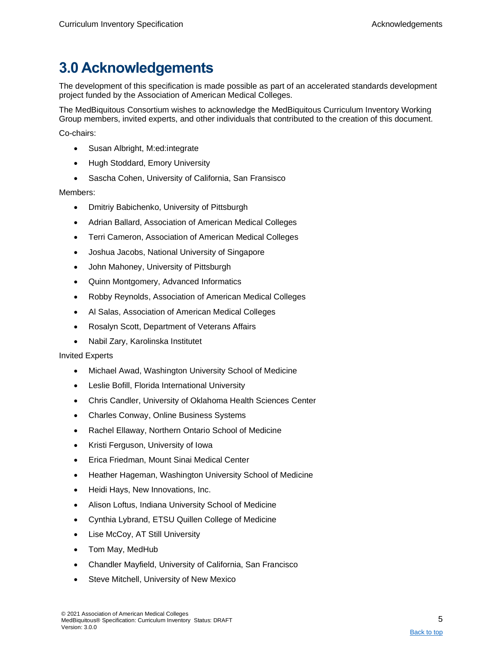## <span id="page-4-0"></span>**3.0 Acknowledgements**

The development of this specification is made possible as part of an accelerated standards development project funded by the Association of American Medical Colleges.

The MedBiquitous Consortium wishes to acknowledge the MedBiquitous Curriculum Inventory Working Group members, invited experts, and other individuals that contributed to the creation of this document.

Co-chairs:

- Susan Albright, M:ed:integrate
- Hugh Stoddard, Emory University
- Sascha Cohen, University of California, San Fransisco

#### Members:

- Dmitriy Babichenko, University of Pittsburgh
- Adrian Ballard, Association of American Medical Colleges
- Terri Cameron, Association of American Medical Colleges
- Joshua Jacobs, National University of Singapore
- John Mahoney, University of Pittsburgh
- Quinn Montgomery, Advanced Informatics
- Robby Reynolds, Association of American Medical Colleges
- Al Salas, Association of American Medical Colleges
- Rosalyn Scott, Department of Veterans Affairs
- Nabil Zary, Karolinska Institutet

#### Invited Experts

- Michael Awad, Washington University School of Medicine
- Leslie Bofill, Florida International University
- Chris Candler, University of Oklahoma Health Sciences Center
- Charles Conway, Online Business Systems
- Rachel Ellaway, Northern Ontario School of Medicine
- Kristi Ferguson, University of Iowa
- Erica Friedman, Mount Sinai Medical Center
- Heather Hageman, Washington University School of Medicine
- Heidi Hays, New Innovations, Inc.
- Alison Loftus, Indiana University School of Medicine
- Cynthia Lybrand, ETSU Quillen College of Medicine
- Lise McCoy, AT Still University
- Tom May, MedHub
- Chandler Mayfield, University of California, San Francisco
- Steve Mitchell, University of New Mexico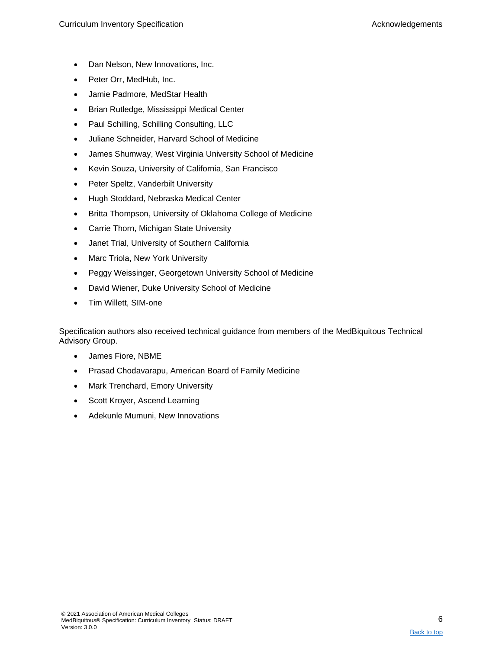- Dan Nelson, New Innovations, Inc.
- Peter Orr, MedHub, Inc.
- Jamie Padmore, MedStar Health
- Brian Rutledge, Mississippi Medical Center
- Paul Schilling, Schilling Consulting, LLC
- Juliane Schneider, Harvard School of Medicine
- James Shumway, West Virginia University School of Medicine
- Kevin Souza, University of California, San Francisco
- Peter Speltz, Vanderbilt University
- Hugh Stoddard, Nebraska Medical Center
- Britta Thompson, University of Oklahoma College of Medicine
- Carrie Thorn, Michigan State University
- Janet Trial, University of Southern California
- Marc Triola, New York University
- Peggy Weissinger, Georgetown University School of Medicine
- David Wiener, Duke University School of Medicine
- Tim Willett, SIM-one

Specification authors also received technical guidance from members of the MedBiquitous Technical Advisory Group.

- James Fiore, NBME
- Prasad Chodavarapu, American Board of Family Medicine
- Mark Trenchard, Emory University
- Scott Kroyer, Ascend Learning
- Adekunle Mumuni, New Innovations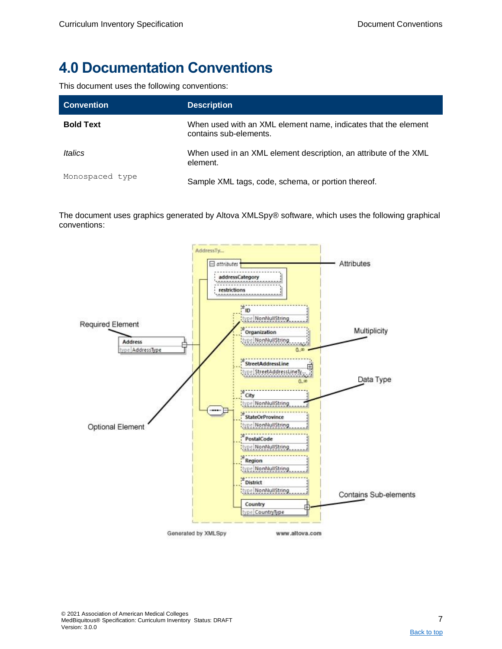## <span id="page-6-0"></span>**4.0 Documentation Conventions**

This document uses the following conventions:

| <b>Convention</b> | <b>Description</b>                                                                       |
|-------------------|------------------------------------------------------------------------------------------|
| <b>Bold Text</b>  | When used with an XML element name, indicates that the element<br>contains sub-elements. |
| Italics           | When used in an XML element description, an attribute of the XML<br>element.             |
| Monospaced type   | Sample XML tags, code, schema, or portion thereof.                                       |

The document uses graphics generated by Altova XMLSpy® software, which uses the following graphical conventions:

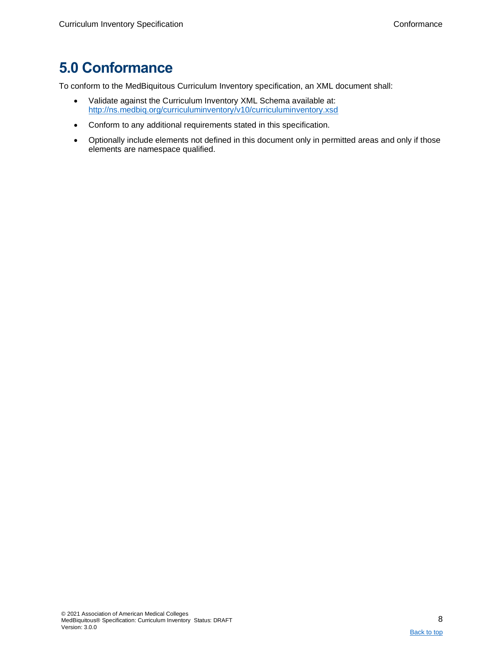## <span id="page-7-0"></span>**5.0 Conformance**

To conform to the MedBiquitous Curriculum Inventory specification, an XML document shall:

- Validate against the Curriculum Inventory XML Schema available at: <http://ns.medbiq.org/curriculuminventory/v10/curriculuminventory.xsd>
- Conform to any additional requirements stated in this specification.
- Optionally include elements not defined in this document only in permitted areas and only if those elements are namespace qualified.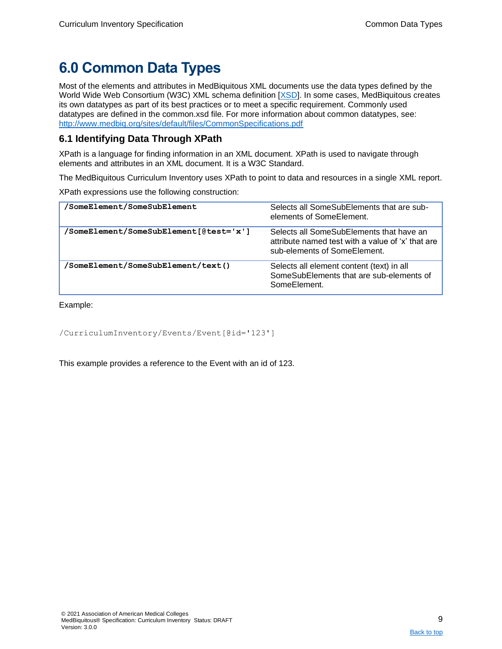## <span id="page-8-0"></span>**6.0 Common Data Types**

Most of the elements and attributes in MedBiquitous XML documents use the data types defined by the World Wide Web Consortium (W3C) XML schema definition [\[XSD\]](#page-60-1). In some cases, MedBiquitous creates its own datatypes as part of its best practices or to meet a specific requirement. Commonly used datatypes are defined in the common.xsd file. For more information about common datatypes, see: <http://www.medbiq.org/sites/default/files/CommonSpecifications.pdf>

## <span id="page-8-1"></span>**6.1 Identifying Data Through XPath**

XPath is a language for finding information in an XML document. XPath is used to navigate through elements and attributes in an XML document. It is a W3C Standard.

The MedBiquitous Curriculum Inventory uses XPath to point to data and resources in a single XML report.

XPath expressions use the following construction:

| /SomeElement/SomeSubElement            | Selects all SomeSubElements that are sub-<br>elements of SomeElement.                                                         |
|----------------------------------------|-------------------------------------------------------------------------------------------------------------------------------|
| /SomeElement/SomeSubElement[@test='x'] | Selects all SomeSubElements that have an<br>attribute named test with a value of 'x' that are<br>sub-elements of SomeElement. |
| 'SomeElement/SomeSubElement/text()     | Selects all element content (text) in all<br>SomeSubElements that are sub-elements of<br>SomeElement.                         |

Example:

```
/CurriculumInventory/Events/Event[@id='123']
```
This example provides a reference to the Event with an id of 123.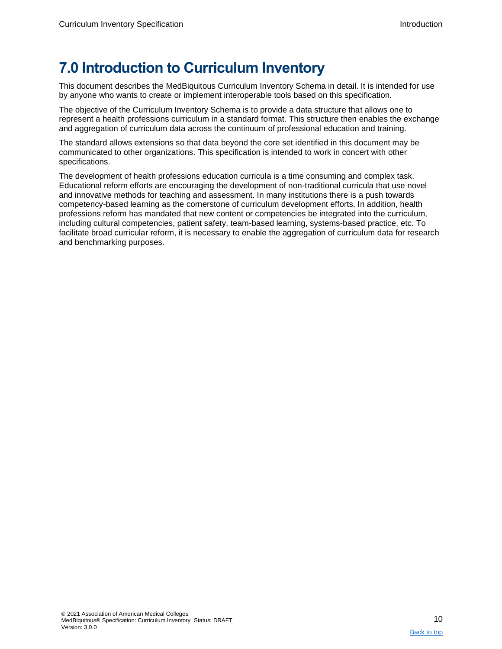## <span id="page-9-0"></span>**7.0 Introduction to Curriculum Inventory**

This document describes the MedBiquitous Curriculum Inventory Schema in detail. It is intended for use by anyone who wants to create or implement interoperable tools based on this specification.

The objective of the Curriculum Inventory Schema is to provide a data structure that allows one to represent a health professions curriculum in a standard format. This structure then enables the exchange and aggregation of curriculum data across the continuum of professional education and training.

The standard allows extensions so that data beyond the core set identified in this document may be communicated to other organizations. This specification is intended to work in concert with other specifications.

The development of health professions education curricula is a time consuming and complex task. Educational reform efforts are encouraging the development of non-traditional curricula that use novel and innovative methods for teaching and assessment. In many institutions there is a push towards competency-based learning as the cornerstone of curriculum development efforts. In addition, health professions reform has mandated that new content or competencies be integrated into the curriculum, including cultural competencies, patient safety, team-based learning, systems-based practice, etc. To facilitate broad curricular reform, it is necessary to enable the aggregation of curriculum data for research and benchmarking purposes.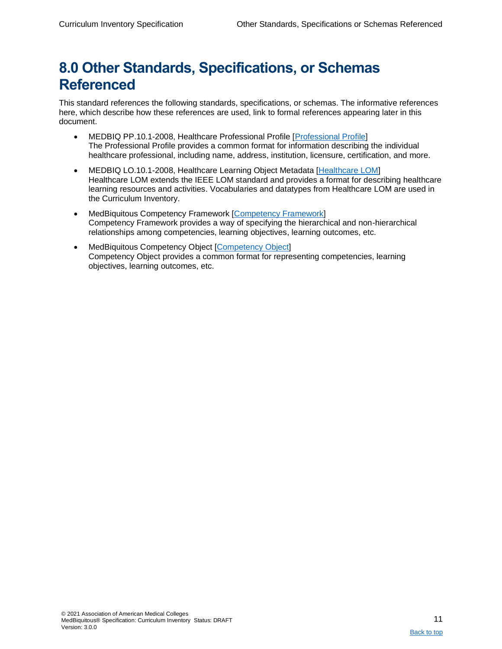## <span id="page-10-0"></span>**8.0 Other Standards, Specifications, or Schemas Referenced**

This standard references the following standards, specifications, or schemas. The informative references here, which describe how these references are used, link to formal references appearing later in this document.

- MEDBIQ PP.10.1-2008, Healthcare Professional Profile [\[Professional Profile\]](#page-13-0) The Professional Profile provides a common format for information describing the individual healthcare professional, including name, address, institution, licensure, certification, and more.
- MEDBIQ LO.10.1-2008, Healthcare Learning Object Metadata [\[Healthcare LOM\]](#page-60-2) Healthcare LOM extends the IEEE LOM standard and provides a format for describing healthcare learning resources and activities. Vocabularies and datatypes from Healthcare LOM are used in the Curriculum Inventory.
- MedBiquitous Competency Framework [\[Competency Framework\]](#page-60-2) Competency Framework provides a way of specifying the hierarchical and non-hierarchical relationships among competencies, learning objectives, learning outcomes, etc.
- MedBiquitous Competency Object [\[Competency Object\]](#page-60-2) Competency Object provides a common format for representing competencies, learning objectives, learning outcomes, etc.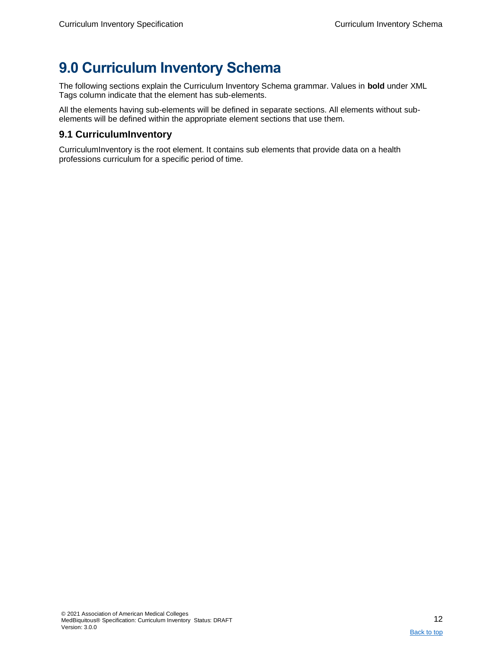## <span id="page-11-0"></span>**9.0 Curriculum Inventory Schema**

The following sections explain the Curriculum Inventory Schema grammar. Values in **bold** under XML Tags column indicate that the element has sub-elements.

All the elements having sub-elements will be defined in separate sections. All elements without subelements will be defined within the appropriate element sections that use them.

## <span id="page-11-1"></span>**9.1 CurriculumInventory**

CurriculumInventory is the root element. It contains sub elements that provide data on a health professions curriculum for a specific period of time.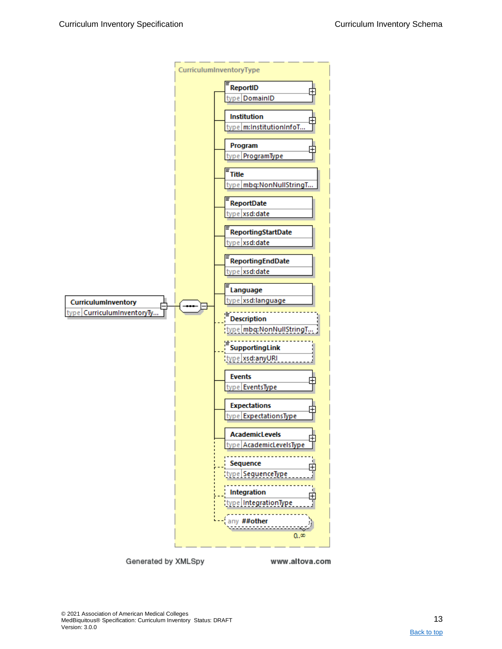

Generated by XMLSpy

www.altova.com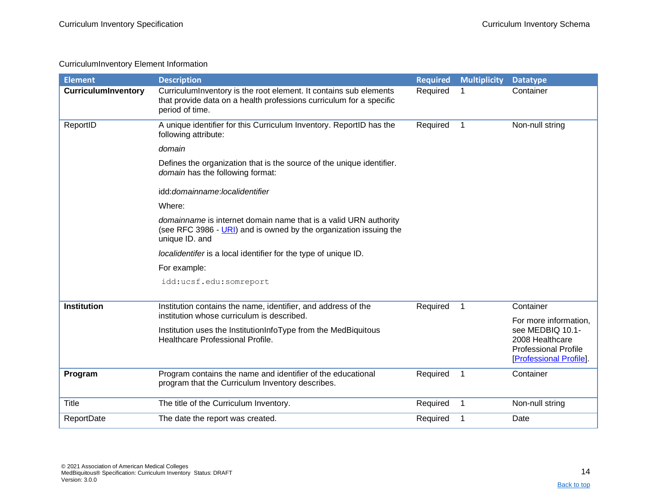### CurriculumInventory Element Information

<span id="page-13-1"></span><span id="page-13-0"></span>

| <b>Element</b>             | <b>Description</b>                                                                                                                                          | <b>Required</b> | <b>Multiplicity</b> | <b>Datatype</b>                                                                                     |
|----------------------------|-------------------------------------------------------------------------------------------------------------------------------------------------------------|-----------------|---------------------|-----------------------------------------------------------------------------------------------------|
| <b>CurriculumInventory</b> | CurriculumInventory is the root element. It contains sub elements<br>that provide data on a health professions curriculum for a specific<br>period of time. | Required        | 1                   | Container                                                                                           |
| ReportID                   | A unique identifier for this Curriculum Inventory. ReportID has the<br>following attribute:                                                                 | Required        | $\mathbf{1}$        | Non-null string                                                                                     |
|                            | domain                                                                                                                                                      |                 |                     |                                                                                                     |
|                            | Defines the organization that is the source of the unique identifier.<br>domain has the following format:                                                   |                 |                     |                                                                                                     |
|                            | idd: domainname: localidentifier                                                                                                                            |                 |                     |                                                                                                     |
|                            | Where:                                                                                                                                                      |                 |                     |                                                                                                     |
|                            | domainname is internet domain name that is a valid URN authority<br>(see RFC 3986 - URI) and is owned by the organization issuing the<br>unique ID. and     |                 |                     |                                                                                                     |
|                            | <i>localidentifer</i> is a local identifier for the type of unique ID.                                                                                      |                 |                     |                                                                                                     |
|                            | For example:                                                                                                                                                |                 |                     |                                                                                                     |
|                            | idd:ucsf.edu:somreport                                                                                                                                      |                 |                     |                                                                                                     |
| <b>Institution</b>         | Institution contains the name, identifier, and address of the<br>institution whose curriculum is described.                                                 | Required        | $\mathbf{1}$        | Container<br>For more information,                                                                  |
|                            | Institution uses the InstitutionInfoType from the MedBiquitous<br>Healthcare Professional Profile.                                                          |                 |                     | see MEDBIQ 10.1-<br>2008 Healthcare<br><b>Professional Profile</b><br><b>Professional Profile</b> . |
| Program                    | Program contains the name and identifier of the educational<br>program that the Curriculum Inventory describes.                                             | Required        | $\mathbf 1$         | Container                                                                                           |
| <b>Title</b>               | The title of the Curriculum Inventory.                                                                                                                      | Required        | 1                   | Non-null string                                                                                     |
| ReportDate                 | The date the report was created.                                                                                                                            | Required        | 1                   | Date                                                                                                |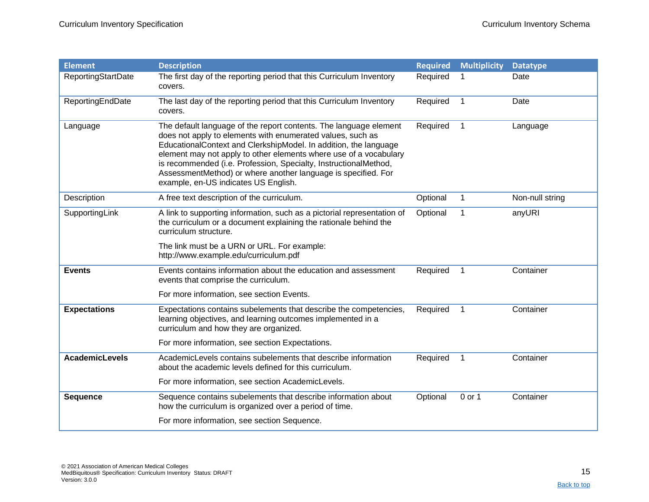| <b>Element</b>        | <b>Description</b>                                                                                                                                                                                                                                                                                                                                                                                                                                    | <b>Required</b> | <b>Multiplicity</b> | <b>Datatype</b> |
|-----------------------|-------------------------------------------------------------------------------------------------------------------------------------------------------------------------------------------------------------------------------------------------------------------------------------------------------------------------------------------------------------------------------------------------------------------------------------------------------|-----------------|---------------------|-----------------|
| ReportingStartDate    | The first day of the reporting period that this Curriculum Inventory<br>covers.                                                                                                                                                                                                                                                                                                                                                                       | Required        |                     | Date            |
| ReportingEndDate      | The last day of the reporting period that this Curriculum Inventory<br>covers.                                                                                                                                                                                                                                                                                                                                                                        | Required        | $\mathbf 1$         | Date            |
| Language              | The default language of the report contents. The language element<br>does not apply to elements with enumerated values, such as<br>EducationalContext and ClerkshipModel. In addition, the language<br>element may not apply to other elements where use of a vocabulary<br>is recommended (i.e. Profession, Specialty, InstructionalMethod,<br>AssessmentMethod) or where another language is specified. For<br>example, en-US indicates US English. | Required        | $\mathbf{1}$        | Language        |
| Description           | A free text description of the curriculum.                                                                                                                                                                                                                                                                                                                                                                                                            | Optional        | $\mathbf{1}$        | Non-null string |
| SupportingLink        | A link to supporting information, such as a pictorial representation of<br>the curriculum or a document explaining the rationale behind the<br>curriculum structure.                                                                                                                                                                                                                                                                                  | Optional        |                     | anyURI          |
|                       | The link must be a URN or URL. For example:<br>http://www.example.edu/curriculum.pdf                                                                                                                                                                                                                                                                                                                                                                  |                 |                     |                 |
| <b>Events</b>         | Events contains information about the education and assessment<br>events that comprise the curriculum.                                                                                                                                                                                                                                                                                                                                                | Required        | $\mathbf 1$         | Container       |
|                       | For more information, see section Events.                                                                                                                                                                                                                                                                                                                                                                                                             |                 |                     |                 |
| <b>Expectations</b>   | Expectations contains subelements that describe the competencies,<br>learning objectives, and learning outcomes implemented in a<br>curriculum and how they are organized.                                                                                                                                                                                                                                                                            | Required        | $\mathbf 1$         | Container       |
|                       | For more information, see section Expectations.                                                                                                                                                                                                                                                                                                                                                                                                       |                 |                     |                 |
| <b>AcademicLevels</b> | AcademicLevels contains subelements that describe information<br>about the academic levels defined for this curriculum.                                                                                                                                                                                                                                                                                                                               | Required        | $\mathbf 1$         | Container       |
|                       | For more information, see section AcademicLevels.                                                                                                                                                                                                                                                                                                                                                                                                     |                 |                     |                 |
| <b>Sequence</b>       | Sequence contains subelements that describe information about<br>how the curriculum is organized over a period of time.                                                                                                                                                                                                                                                                                                                               | Optional        | 0 or 1              | Container       |
|                       | For more information, see section Sequence.                                                                                                                                                                                                                                                                                                                                                                                                           |                 |                     |                 |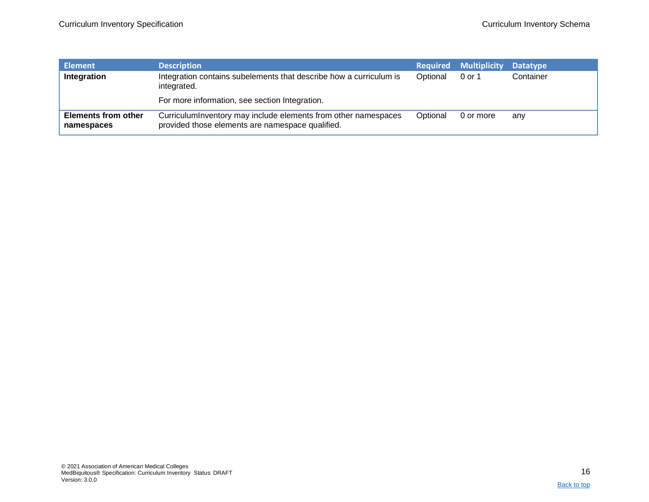| Element                                  | <b>Description</b>                                                                                                 |          | <b>Required Multiplicity</b> | <b>Datatype</b> |
|------------------------------------------|--------------------------------------------------------------------------------------------------------------------|----------|------------------------------|-----------------|
| Integration                              | Integration contains subelements that describe how a curriculum is<br>integrated.                                  | Optional | 0 or 1                       | Container       |
|                                          | For more information, see section Integration.                                                                     |          |                              |                 |
| <b>Elements from other</b><br>namespaces | CurriculumInventory may include elements from other namespaces<br>provided those elements are namespace qualified. | Optional | 0 or more                    | any             |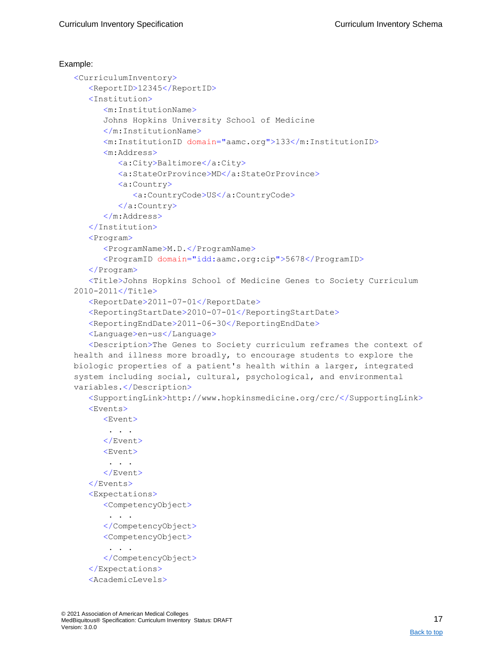```
<CurriculumInventory>
   <ReportID>12345</ReportID>
   <Institution>
      <m:InstitutionName>
      Johns Hopkins University School of Medicine
      </m:InstitutionName>
      <m:InstitutionID domain="aamc.org">133</m:InstitutionID>
      <m:Address>
         <a:City>Baltimore</a:City>
         <a:StateOrProvince>MD</a:StateOrProvince>
         <a:Country>
            <a:CountryCode>US</a:CountryCode>
         </a:Country>
      </m:Address>
   </Institution>
   <Program>
      <ProgramName>M.D.</ProgramName>
      <ProgramID domain="idd:aamc.org:cip">5678</ProgramID>
   </Program>
   <Title>Johns Hopkins School of Medicine Genes to Society Curriculum 
2010-2011</Title>
   <ReportDate>2011-07-01</ReportDate>
   <ReportingStartDate>2010-07-01</ReportingStartDate>
   <ReportingEndDate>2011-06-30</ReportingEndDate>
   <Language>en-us</Language>
   <Description>The Genes to Society curriculum reframes the context of 
health and illness more broadly, to encourage students to explore the 
biologic properties of a patient's health within a larger, integrated 
system including social, cultural, psychological, and environmental 
variables.</Description>
   <SupportingLink>http://www.hopkinsmedicine.org/crc/</SupportingLink>
   <Events>
      <Event>
       . . .
      </Event>
      <Event>
       . . .
      </Event>
   </Events>
   <Expectations>
      <CompetencyObject>
       . . .
      </CompetencyObject>
      <CompetencyObject>
       . . .
      </CompetencyObject>
   </Expectations>
   <AcademicLevels>
```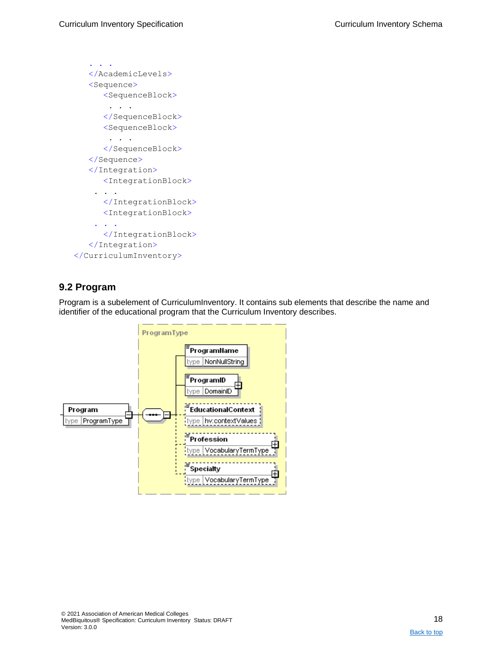```
. . .
   </AcademicLevels>
   <Sequence>
      <SequenceBlock>
       . . .
      </SequenceBlock>
      <SequenceBlock>
       . . .
      </SequenceBlock>
   </Sequence>
   </Integration>
      <IntegrationBlock>
    . . .
      </IntegrationBlock>
      <IntegrationBlock>
    . . .
      </IntegrationBlock>
   </Integration>
</CurriculumInventory>
```
## <span id="page-17-0"></span>**9.2 Program**

Program is a subelement of CurriculumInventory. It contains sub elements that describe the name and identifier of the educational program that the Curriculum Inventory describes.

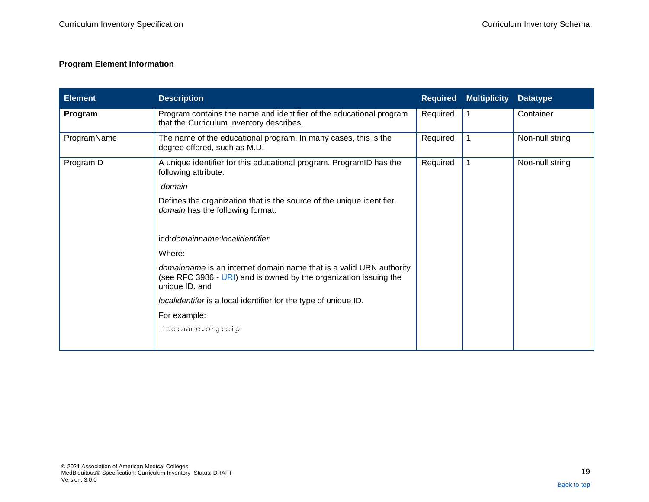### **Program Element Information**

<span id="page-18-0"></span>

| <b>Element</b> | <b>Description</b>                                                                                                                                         | <b>Required</b> | <b>Multiplicity</b> | <b>Datatype</b> |
|----------------|------------------------------------------------------------------------------------------------------------------------------------------------------------|-----------------|---------------------|-----------------|
| Program        | Program contains the name and identifier of the educational program<br>that the Curriculum Inventory describes.                                            | Required        | 1                   | Container       |
| ProgramName    | The name of the educational program. In many cases, this is the<br>degree offered, such as M.D.                                                            | Required        | 1                   | Non-null string |
| ProgramID      | A unique identifier for this educational program. ProgramID has the<br>following attribute:                                                                | Required        | 1                   | Non-null string |
|                | domain                                                                                                                                                     |                 |                     |                 |
|                | Defines the organization that is the source of the unique identifier.<br>domain has the following format:                                                  |                 |                     |                 |
|                | idd:domainname:localidentifier                                                                                                                             |                 |                     |                 |
|                | Where:                                                                                                                                                     |                 |                     |                 |
|                | domainname is an internet domain name that is a valid URN authority<br>(see RFC 3986 - URI) and is owned by the organization issuing the<br>unique ID. and |                 |                     |                 |
|                | localidentifer is a local identifier for the type of unique ID.                                                                                            |                 |                     |                 |
|                | For example:                                                                                                                                               |                 |                     |                 |
|                | idd:aamc.org:cip                                                                                                                                           |                 |                     |                 |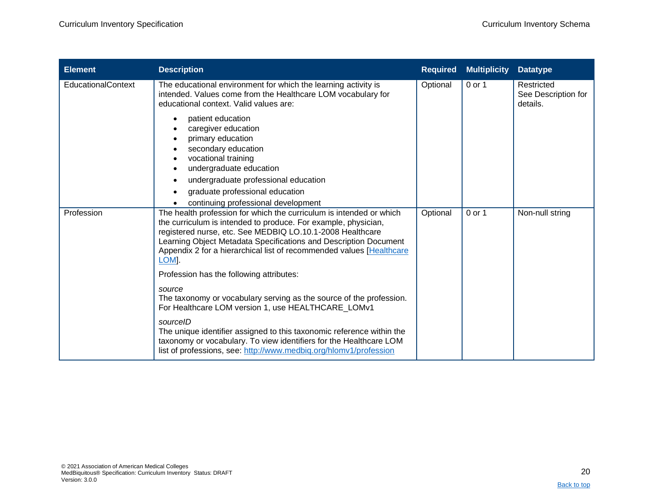| <b>Element</b>     | <b>Description</b>                                                                                                                                                                                                                                                                                                                                                 | <b>Required</b> | <b>Multiplicity</b> | <b>Datatype</b>                               |
|--------------------|--------------------------------------------------------------------------------------------------------------------------------------------------------------------------------------------------------------------------------------------------------------------------------------------------------------------------------------------------------------------|-----------------|---------------------|-----------------------------------------------|
| EducationalContext | The educational environment for which the learning activity is<br>intended. Values come from the Healthcare LOM vocabulary for<br>educational context. Valid values are:                                                                                                                                                                                           | Optional        | 0 or 1              | Restricted<br>See Description for<br>details. |
|                    | patient education<br>caregiver education<br>primary education<br>secondary education<br>vocational training<br>undergraduate education<br>undergraduate professional education<br>graduate professional education<br>continuing professional development                                                                                                           |                 |                     |                                               |
| Profession         | The health profession for which the curriculum is intended or which<br>the curriculum is intended to produce. For example, physician,<br>registered nurse, etc. See MEDBIQ LO.10.1-2008 Healthcare<br>Learning Object Metadata Specifications and Description Document<br>Appendix 2 for a hierarchical list of recommended values [Healthcare<br>LOM <sub>I</sub> | Optional        | $0$ or 1            | Non-null string                               |
|                    | Profession has the following attributes:<br>source<br>The taxonomy or vocabulary serving as the source of the profession.<br>For Healthcare LOM version 1, use HEALTHCARE LOMv1                                                                                                                                                                                    |                 |                     |                                               |
|                    | sourceID<br>The unique identifier assigned to this taxonomic reference within the<br>taxonomy or vocabulary. To view identifiers for the Healthcare LOM<br>list of professions, see: http://www.medbiq.org/hlomv1/profession                                                                                                                                       |                 |                     |                                               |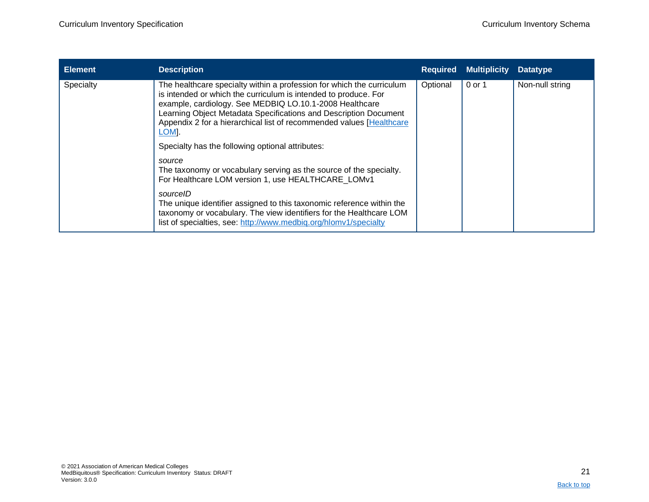| <b>Element</b> | <b>Description</b>                                                                                                                                                                                                                                                                                                                                                     | <b>Required</b> | <b>Multiplicity</b> | <b>Datatype</b> |
|----------------|------------------------------------------------------------------------------------------------------------------------------------------------------------------------------------------------------------------------------------------------------------------------------------------------------------------------------------------------------------------------|-----------------|---------------------|-----------------|
| Specialty      | The healthcare specialty within a profession for which the curriculum<br>is intended or which the curriculum is intended to produce. For<br>example, cardiology. See MEDBIQ LO.10.1-2008 Healthcare<br>Learning Object Metadata Specifications and Description Document<br>Appendix 2 for a hierarchical list of recommended values [Healthcare]<br>LOM <sub>I</sub> . | Optional        | 0 or 1              | Non-null string |
|                | Specialty has the following optional attributes:                                                                                                                                                                                                                                                                                                                       |                 |                     |                 |
|                | source<br>The taxonomy or vocabulary serving as the source of the specialty.<br>For Healthcare LOM version 1, use HEALTHCARE LOMv1                                                                                                                                                                                                                                     |                 |                     |                 |
|                | sourcelD<br>The unique identifier assigned to this taxonomic reference within the<br>taxonomy or vocabulary. The view identifiers for the Healthcare LOM<br>list of specialties, see: http://www.medbig.org/hlomv1/specialty                                                                                                                                           |                 |                     |                 |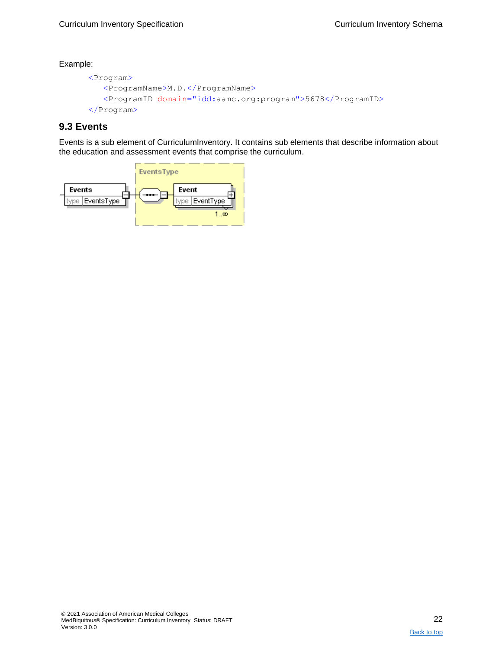```
<Program>
   <ProgramName>M.D.</ProgramName>
   <ProgramID domain="idd:aamc.org:program">5678</ProgramID>
</Program>
```
## <span id="page-21-0"></span>**9.3 Events**

Events is a sub element of CurriculumInventory. It contains sub elements that describe information about the education and assessment events that comprise the curriculum.

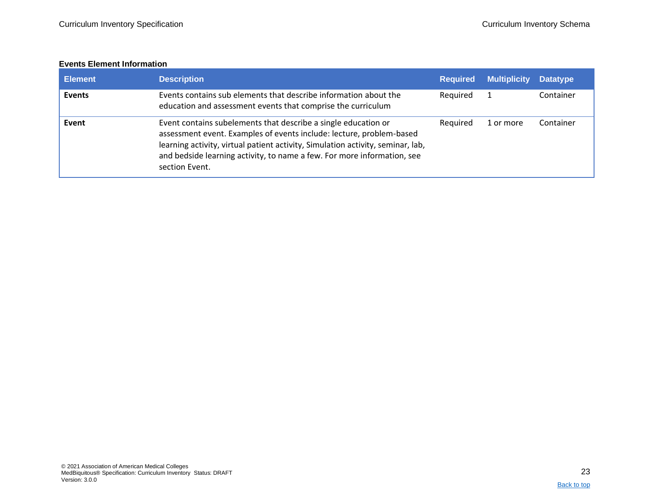### **Events Element Information**

<span id="page-22-0"></span>

| <b>Element</b> | <b>Description</b>                                                                                                                                                                                                                                                                                                     | <b>Required</b> | <b>Multiplicity</b> | <b>Datatype</b> |
|----------------|------------------------------------------------------------------------------------------------------------------------------------------------------------------------------------------------------------------------------------------------------------------------------------------------------------------------|-----------------|---------------------|-----------------|
| <b>Events</b>  | Events contains sub elements that describe information about the<br>education and assessment events that comprise the curriculum                                                                                                                                                                                       | Required        |                     | Container       |
| Event          | Event contains subelements that describe a single education or<br>assessment event. Examples of events include: lecture, problem-based<br>learning activity, virtual patient activity, Simulation activity, seminar, lab,<br>and bedside learning activity, to name a few. For more information, see<br>section Event. | Required        | 1 or more           | Container       |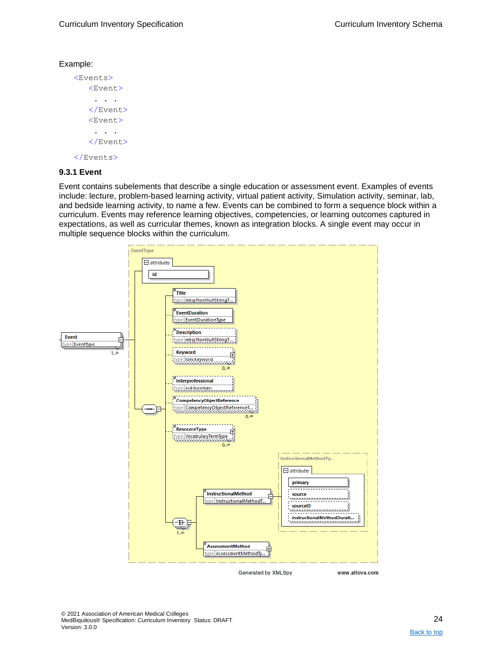```
<Events>
   <Event>
    . . .
   </Event>
   <Event>
    . . .
   </Event>
</Events>
```
#### <span id="page-23-0"></span>**9.3.1 Event**

Event contains subelements that describe a single education or assessment event. Examples of events include: lecture, problem-based learning activity, virtual patient activity, Simulation activity, seminar, lab, and bedside learning activity, to name a few. Events can be combined to form a sequence block within a curriculum. Events may reference learning objectives, competencies, or learning outcomes captured in expectations, as well as curricular themes, known as integration blocks. A single event may occur in multiple sequence blocks within the curriculum.

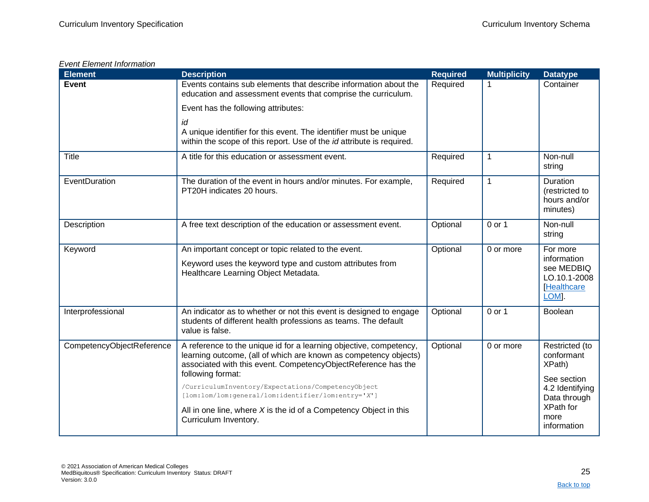### *Event Element Information*

| <b>Element</b>            | <b>Description</b>                                                                                                                                                                                                           | <b>Required</b> | <b>Multiplicity</b> | <b>Datatype</b>                                                                     |
|---------------------------|------------------------------------------------------------------------------------------------------------------------------------------------------------------------------------------------------------------------------|-----------------|---------------------|-------------------------------------------------------------------------------------|
| <b>Event</b>              | Events contains sub elements that describe information about the<br>education and assessment events that comprise the curriculum.                                                                                            | Required        |                     | Container                                                                           |
|                           | Event has the following attributes:                                                                                                                                                                                          |                 |                     |                                                                                     |
|                           | id<br>A unique identifier for this event. The identifier must be unique<br>within the scope of this report. Use of the id attribute is required.                                                                             |                 |                     |                                                                                     |
| <b>Title</b>              | A title for this education or assessment event.                                                                                                                                                                              | Required        | $\mathbf{1}$        | Non-null<br>string                                                                  |
| EventDuration             | The duration of the event in hours and/or minutes. For example,<br>PT20H indicates 20 hours.                                                                                                                                 | Required        | $\mathbf{1}$        | <b>Duration</b><br>(restricted to<br>hours and/or<br>minutes)                       |
| Description               | A free text description of the education or assessment event.                                                                                                                                                                | Optional        | 0 or 1              | Non-null<br>string                                                                  |
| Keyword                   | An important concept or topic related to the event.<br>Keyword uses the keyword type and custom attributes from<br>Healthcare Learning Object Metadata.                                                                      | Optional        | 0 or more           | For more<br>information<br>see MEDBIQ<br>LO.10.1-2008<br><b>Healthcare</b><br>LOM]. |
| Interprofessional         | An indicator as to whether or not this event is designed to engage<br>students of different health professions as teams. The default<br>value is false.                                                                      | Optional        | $0$ or 1            | <b>Boolean</b>                                                                      |
| CompetencyObjectReference | A reference to the unique id for a learning objective, competency,<br>learning outcome, (all of which are known as competency objects)<br>associated with this event. CompetencyObjectReference has the<br>following format: | Optional        | 0 or more           | Restricted (to<br>conformant<br>XPath)                                              |
|                           | /CurriculumInventory/Expectations/CompetencyObject<br>[lom:lom/lom:general/lom:identifier/lom:entry='X']<br>All in one line, where $X$ is the id of a Competency Object in this<br>Curriculum Inventory.                     |                 |                     | See section<br>4.2 Identifying<br>Data through<br>XPath for<br>more<br>information  |
|                           |                                                                                                                                                                                                                              |                 |                     |                                                                                     |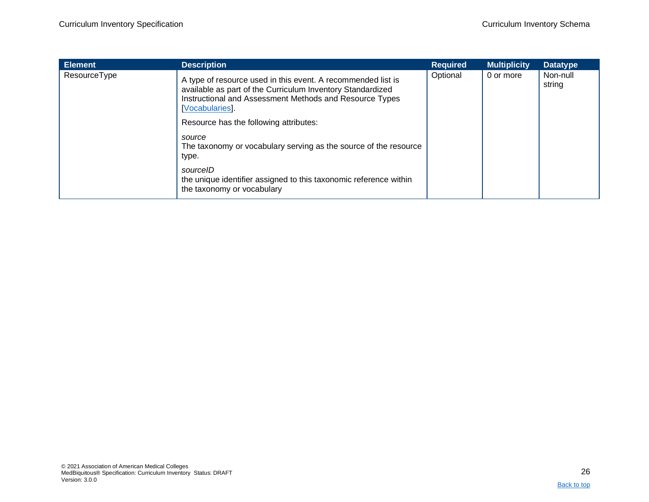| <b>Element</b> | <b>Description</b>                                                                                                                                                                                       | <b>Required</b> | <b>Multiplicity</b> | <b>Datatype</b>    |
|----------------|----------------------------------------------------------------------------------------------------------------------------------------------------------------------------------------------------------|-----------------|---------------------|--------------------|
| ResourceType   | A type of resource used in this event. A recommended list is<br>available as part of the Curriculum Inventory Standardized<br>Instructional and Assessment Methods and Resource Types<br>[Vocabularies]. | Optional        | 0 or more           | Non-null<br>string |
|                | Resource has the following attributes:                                                                                                                                                                   |                 |                     |                    |
|                | source<br>The taxonomy or vocabulary serving as the source of the resource<br>type.                                                                                                                      |                 |                     |                    |
|                | sourcelD<br>the unique identifier assigned to this taxonomic reference within<br>the taxonomy or vocabulary                                                                                              |                 |                     |                    |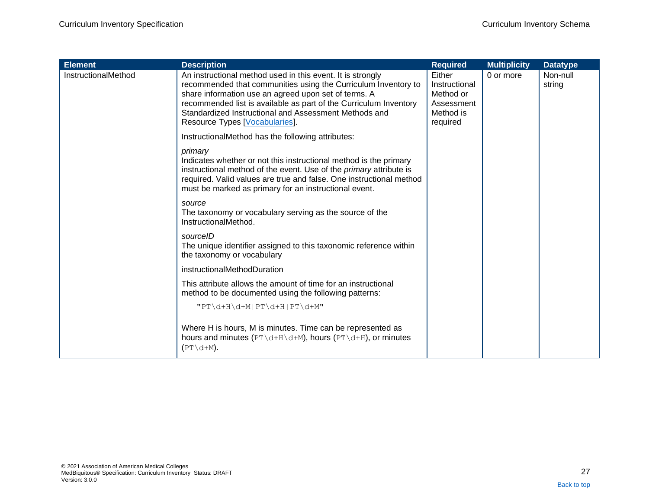| <b>Element</b>      | <b>Description</b>                                                                                                                                                                                                                                                                                                                                   | <b>Required</b>                                                             | <b>Multiplicity</b> | <b>Datatype</b>    |
|---------------------|------------------------------------------------------------------------------------------------------------------------------------------------------------------------------------------------------------------------------------------------------------------------------------------------------------------------------------------------------|-----------------------------------------------------------------------------|---------------------|--------------------|
| InstructionalMethod | An instructional method used in this event. It is strongly<br>recommended that communities using the Curriculum Inventory to<br>share information use an agreed upon set of terms. A<br>recommended list is available as part of the Curriculum Inventory<br>Standardized Instructional and Assessment Methods and<br>Resource Types [Vocabularies]. | Either<br>Instructional<br>Method or<br>Assessment<br>Method is<br>required | 0 or more           | Non-null<br>string |
|                     | InstructionalMethod has the following attributes:                                                                                                                                                                                                                                                                                                    |                                                                             |                     |                    |
|                     | primary<br>Indicates whether or not this instructional method is the primary<br>instructional method of the event. Use of the primary attribute is<br>required. Valid values are true and false. One instructional method<br>must be marked as primary for an instructional event.                                                                   |                                                                             |                     |                    |
|                     | source<br>The taxonomy or vocabulary serving as the source of the<br>InstructionalMethod.                                                                                                                                                                                                                                                            |                                                                             |                     |                    |
|                     | sourcelD<br>The unique identifier assigned to this taxonomic reference within<br>the taxonomy or vocabulary                                                                                                                                                                                                                                          |                                                                             |                     |                    |
|                     | instructionalMethodDuration                                                                                                                                                                                                                                                                                                                          |                                                                             |                     |                    |
|                     | This attribute allows the amount of time for an instructional<br>method to be documented using the following patterns:                                                                                                                                                                                                                               |                                                                             |                     |                    |
|                     | " $PT\ddot{\text{d+H}}\text{PT}\ddot{\text{d+H}}$   $PT\ddot{\text{d+H}}$   $PT\ddot{\text{d+M}}$ "                                                                                                                                                                                                                                                  |                                                                             |                     |                    |
|                     | Where H is hours, M is minutes. Time can be represented as<br>hours and minutes $(PT\ddot{\text{d}+H}\ddot{\text{d}+M})$ , hours $(PT\ddot{\text{d}+H})$ , or minutes<br>$(PT\ddot{d}+M).$                                                                                                                                                           |                                                                             |                     |                    |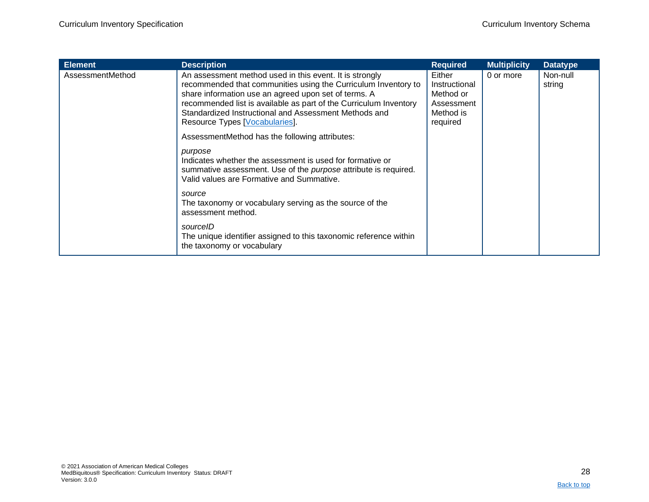| <b>Element</b>   | <b>Description</b>                                                                                                                                                                                                                                                                                                                                                                                  | <b>Required</b>                                                             | <b>Multiplicity</b> | <b>Datatype</b>    |
|------------------|-----------------------------------------------------------------------------------------------------------------------------------------------------------------------------------------------------------------------------------------------------------------------------------------------------------------------------------------------------------------------------------------------------|-----------------------------------------------------------------------------|---------------------|--------------------|
| AssessmentMethod | An assessment method used in this event. It is strongly<br>recommended that communities using the Curriculum Inventory to<br>share information use an agreed upon set of terms. A<br>recommended list is available as part of the Curriculum Inventory<br>Standardized Instructional and Assessment Methods and<br>Resource Types [Vocabularies].<br>AssessmentMethod has the following attributes: | Either<br>Instructional<br>Method or<br>Assessment<br>Method is<br>required | 0 or more           | Non-null<br>string |
|                  | purpose<br>Indicates whether the assessment is used for formative or<br>summative assessment. Use of the <i>purpose</i> attribute is required.<br>Valid values are Formative and Summative.                                                                                                                                                                                                         |                                                                             |                     |                    |
|                  | source<br>The taxonomy or vocabulary serving as the source of the<br>assessment method.                                                                                                                                                                                                                                                                                                             |                                                                             |                     |                    |
|                  | sourcelD<br>The unique identifier assigned to this taxonomic reference within<br>the taxonomy or vocabulary                                                                                                                                                                                                                                                                                         |                                                                             |                     |                    |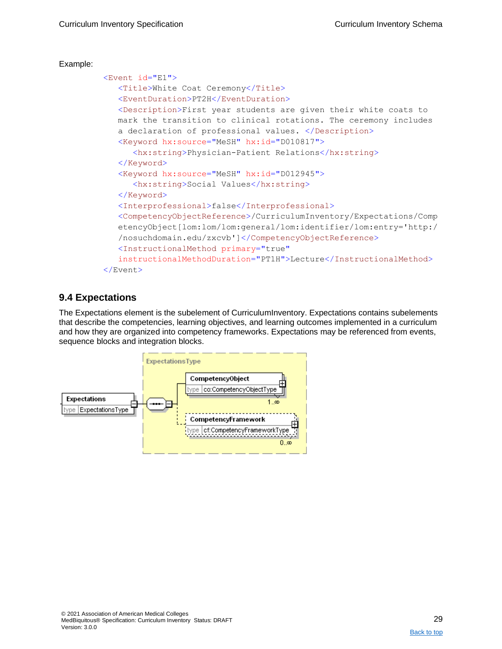```
<Event id="E1">
   <Title>White Coat Ceremony</Title>
  <EventDuration>PT2H</EventDuration>
   <Description>First year students are given their white coats to 
  mark the transition to clinical rotations. The ceremony includes 
   a declaration of professional values. </Description>
   <Keyword hx:source="MeSH" hx:id="D010817">
     <hx:string>Physician-Patient Relations</hx:string>
   </Keyword>
   <Keyword hx:source="MeSH" hx:id="D012945">
     <hx:string>Social Values</hx:string>
   </Keyword>
   <Interprofessional>false</Interprofessional>
   <CompetencyObjectReference>/CurriculumInventory/Expectations/Comp
   etencyObject[lom:lom/lom:general/lom:identifier/lom:entry='http:/
   /nosuchdomain.edu/zxcvb']</CompetencyObjectReference>
   <InstructionalMethod primary="true"
   instructionalMethodDuration="PT1H">Lecture</InstructionalMethod>
</Event>
```
### <span id="page-28-0"></span>**9.4 Expectations**

The Expectations element is the subelement of CurriculumInventory. Expectations contains subelements that describe the competencies, learning objectives, and learning outcomes implemented in a curriculum and how they are organized into competency frameworks. Expectations may be referenced from events, sequence blocks and integration blocks.

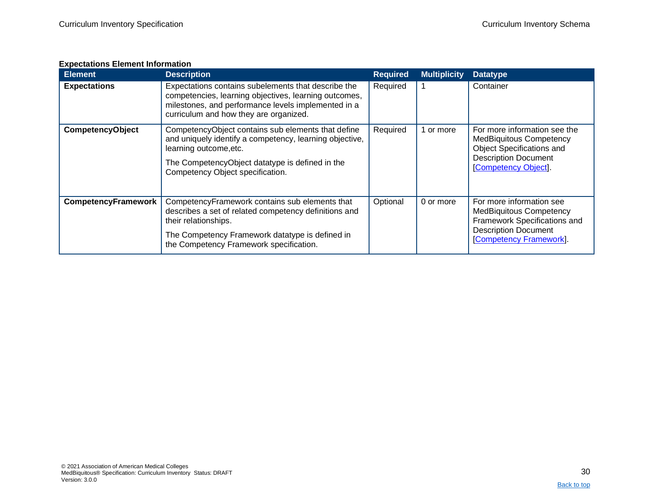### **Expectations Element Information**

<span id="page-29-0"></span>

| <b>Element</b>          | <b>Description</b>                                                                                                                                                                                                             | <b>Required</b> | <b>Multiplicity</b> | <b>Datatype</b>                                                                                                                                                  |
|-------------------------|--------------------------------------------------------------------------------------------------------------------------------------------------------------------------------------------------------------------------------|-----------------|---------------------|------------------------------------------------------------------------------------------------------------------------------------------------------------------|
| <b>Expectations</b>     | Expectations contains subelements that describe the<br>competencies, learning objectives, learning outcomes,<br>milestones, and performance levels implemented in a<br>curriculum and how they are organized.                  | Required        |                     | Container                                                                                                                                                        |
| <b>CompetencyObject</b> | CompetencyObject contains sub elements that define<br>and uniquely identify a competency, learning objective,<br>learning outcome, etc.<br>The CompetencyObject datatype is defined in the<br>Competency Object specification. | Required        | or more             | For more information see the<br><b>MedBiquitous Competency</b><br><b>Object Specifications and</b><br><b>Description Document</b><br><b>Competency Object</b> ]. |
| CompetencyFramework     | CompetencyFramework contains sub elements that<br>describes a set of related competency definitions and<br>their relationships.<br>The Competency Framework datatype is defined in<br>the Competency Framework specification.  | Optional        | 0 or more           | For more information see<br><b>MedBiquitous Competency</b><br>Framework Specifications and<br><b>Description Document</b><br><b>Competency Framework].</b>       |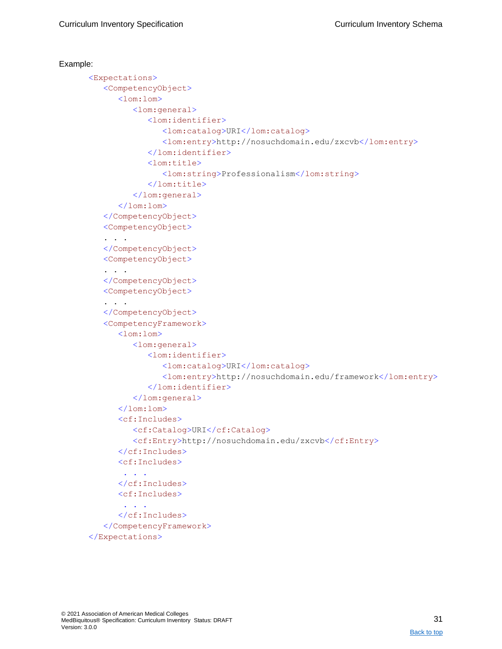```
Example: 
      <Expectations>
         <CompetencyObject>
            <lom:lom>
               <lom:general>
                   <lom:identifier>
                      <lom:catalog>URI</lom:catalog>
                      <lom:entry>http://nosuchdomain.edu/zxcvb</lom:entry>
                   </lom:identifier>
                   <lom:title>
                      <lom:string>Professionalism</lom:string>
                   </lom:title>
               </lom:general>
            \langle/lom:lom>
         </CompetencyObject>
         <CompetencyObject>
         . . . 
         </CompetencyObject>
         <CompetencyObject>
         . . . 
         </CompetencyObject>
         <CompetencyObject>
         . . . 
         </CompetencyObject>
         <CompetencyFramework>
            <lom:lom>
               <lom:general>
                   <lom:identifier>
                      <lom:catalog>URI</lom:catalog>
                      <lom:entry>http://nosuchdomain.edu/framework</lom:entry>
                   </lom:identifier>
               </lom:general>
            \langlelom:lom>
            <cf:Includes>
               <cf:Catalog>URI</cf:Catalog>
               <cf:Entry>http://nosuchdomain.edu/zxcvb</cf:Entry>
            </cf:Includes>
            <cf:Includes>
             . . .
            </cf:Includes>
            <cf:Includes>
             . . .
            </cf:Includes>
         </CompetencyFramework>
      </Expectations>
```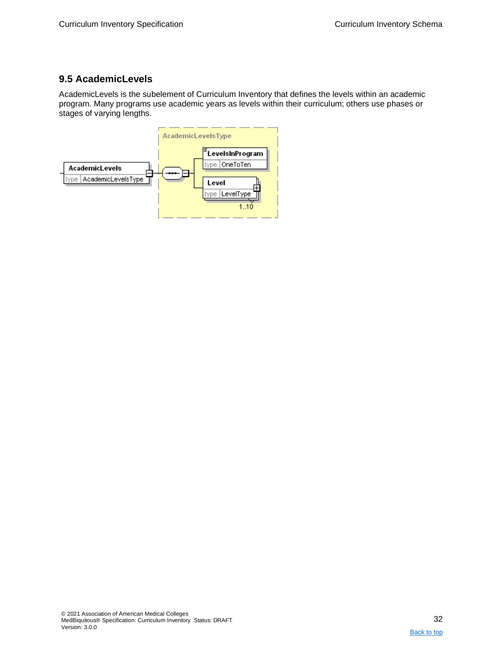## <span id="page-31-0"></span>**9.5 AcademicLevels**

AcademicLevels is the subelement of Curriculum Inventory that defines the levels within an academic program. Many programs use academic years as levels within their curriculum; others use phases or stages of varying lengths.

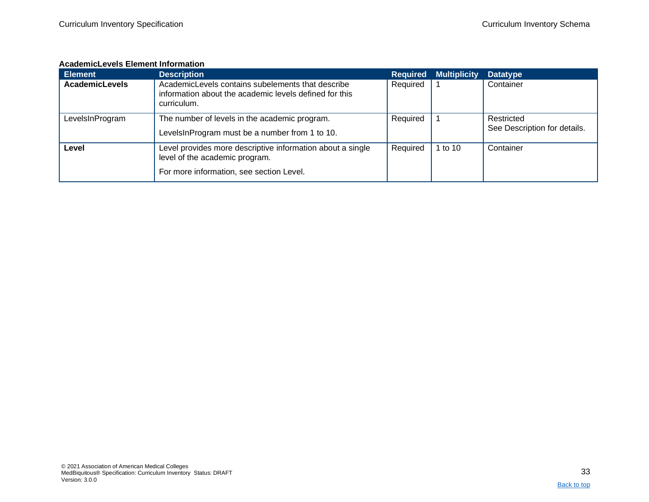#### **AcademicLevels Element Information**

<span id="page-32-0"></span>

| <b>Element</b>        | <b>Description</b>                                                                                                                       | <b>Required</b> | <b>Multiplicity</b> | <b>Datatype</b>                            |
|-----------------------|------------------------------------------------------------------------------------------------------------------------------------------|-----------------|---------------------|--------------------------------------------|
| <b>AcademicLevels</b> | AcademicLevels contains subelements that describe<br>information about the academic levels defined for this<br>curriculum.               | Required        |                     | Container                                  |
| LevelsInProgram       | The number of levels in the academic program.<br>LevelsInProgram must be a number from 1 to 10.                                          | Required        |                     | Restricted<br>See Description for details. |
| Level                 | Level provides more descriptive information about a single<br>level of the academic program.<br>For more information, see section Level. | Required        | 1 to $10$           | Container                                  |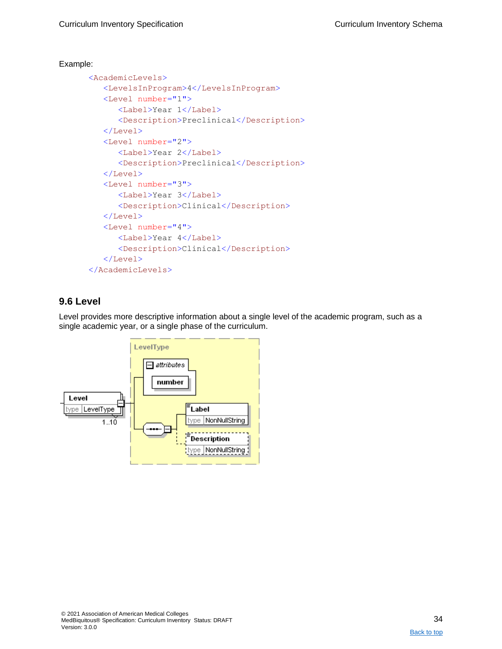```
<AcademicLevels>
   <LevelsInProgram>4</LevelsInProgram>
   <Level number="1">
      <Label>Year 1</Label>
      <Description>Preclinical</Description>
   </Level>
   <Level number="2">
      <Label>Year 2</Label>
      <Description>Preclinical</Description>
   </Level>
   <Level number="3">
      <Label>Year 3</Label>
      <Description>Clinical</Description>
   </Level>
   <Level number="4">
      <Label>Year 4</Label>
      <Description>Clinical</Description>
   </Level>
</AcademicLevels>
```
## <span id="page-33-0"></span>**9.6 Level**

Level provides more descriptive information about a single level of the academic program, such as a single academic year, or a single phase of the curriculum.

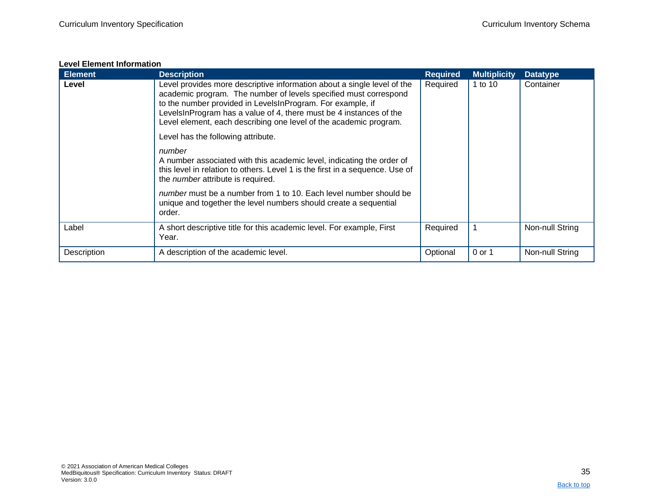#### **Level Element Information**

<span id="page-34-0"></span>

| <b>Element</b> | <b>Description</b>                                                                                                                                                                                                                                                                                                                                   | <b>Required</b> | <b>Multiplicity</b> | <b>Datatype</b> |
|----------------|------------------------------------------------------------------------------------------------------------------------------------------------------------------------------------------------------------------------------------------------------------------------------------------------------------------------------------------------------|-----------------|---------------------|-----------------|
| Level          | Level provides more descriptive information about a single level of the<br>academic program. The number of levels specified must correspond<br>to the number provided in LevelsInProgram. For example, if<br>LevelsInProgram has a value of 4, there must be 4 instances of the<br>Level element, each describing one level of the academic program. | Required        | 1 to 10             | Container       |
|                | Level has the following attribute.                                                                                                                                                                                                                                                                                                                   |                 |                     |                 |
|                | number<br>A number associated with this academic level, indicating the order of<br>this level in relation to others. Level 1 is the first in a sequence. Use of<br>the <i>number</i> attribute is required.                                                                                                                                          |                 |                     |                 |
|                | number must be a number from 1 to 10. Each level number should be<br>unique and together the level numbers should create a sequential<br>order.                                                                                                                                                                                                      |                 |                     |                 |
| Label          | A short descriptive title for this academic level. For example, First<br>Year.                                                                                                                                                                                                                                                                       | Required        |                     | Non-null String |
| Description    | A description of the academic level.                                                                                                                                                                                                                                                                                                                 | Optional        | 0 or 1              | Non-null String |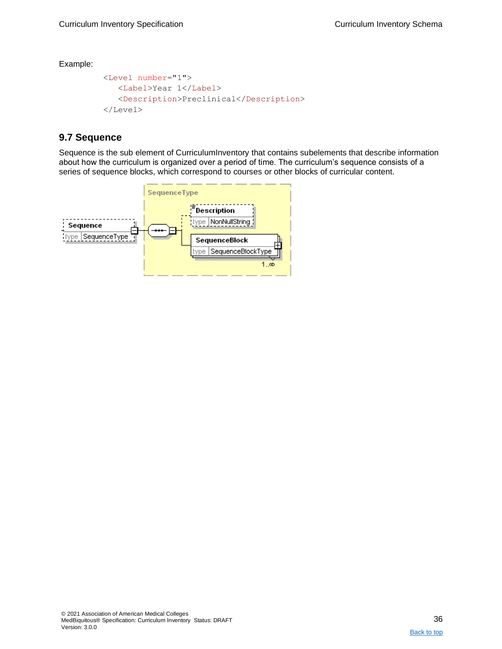```
<Level number="1">
  <Label>Year 1</Label>
   <Description>Preclinical</Description>
</Level>
```
## <span id="page-35-0"></span>**9.7 Sequence**

Sequence is the sub element of CurriculumInventory that contains subelements that describe information about how the curriculum is organized over a period of time. The curriculum's sequence consists of a series of sequence blocks, which correspond to courses or other blocks of curricular content.

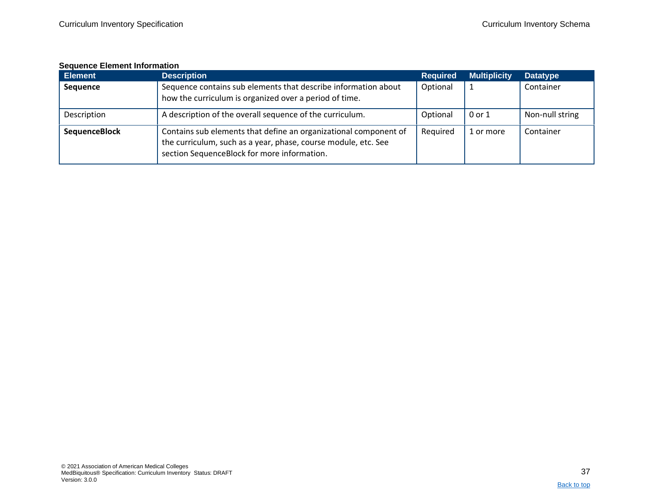#### **Sequence Element Information**

<span id="page-36-0"></span>

| <b>Element</b>       | <b>Description</b>                                                                                                                                                                | <b>Required</b> | <b>Multiplicity</b> | <b>Datatype</b> |
|----------------------|-----------------------------------------------------------------------------------------------------------------------------------------------------------------------------------|-----------------|---------------------|-----------------|
| <b>Sequence</b>      | Sequence contains sub elements that describe information about<br>how the curriculum is organized over a period of time.                                                          | Optional        |                     | Container       |
| Description          | A description of the overall sequence of the curriculum.                                                                                                                          | Optional        | 0 or 1              | Non-null string |
| <b>SequenceBlock</b> | Contains sub elements that define an organizational component of<br>the curriculum, such as a year, phase, course module, etc. See<br>section SequenceBlock for more information. | Required        | 1 or more           | Container       |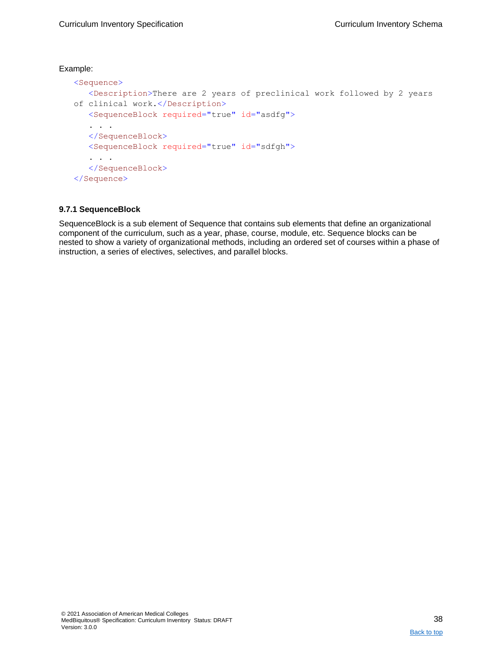```
<Sequence>
   <Description>There are 2 years of preclinical work followed by 2 years 
of clinical work.</Description>
   <SequenceBlock required="true" id="asdfg">
   . . . 
   </SequenceBlock>
   <SequenceBlock required="true" id="sdfgh">
   . . . 
   </SequenceBlock>
</Sequence>
```
#### <span id="page-37-0"></span>**9.7.1 SequenceBlock**

SequenceBlock is a sub element of Sequence that contains sub elements that define an organizational component of the curriculum, such as a year, phase, course, module, etc. Sequence blocks can be nested to show a variety of organizational methods, including an ordered set of courses within a phase of instruction, a series of electives, selectives, and parallel blocks.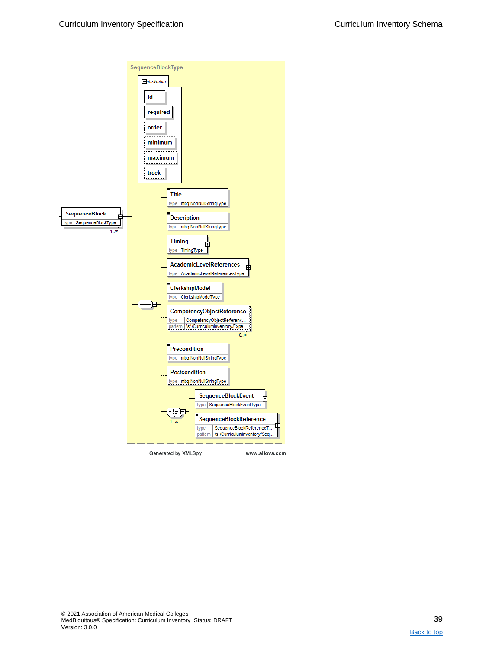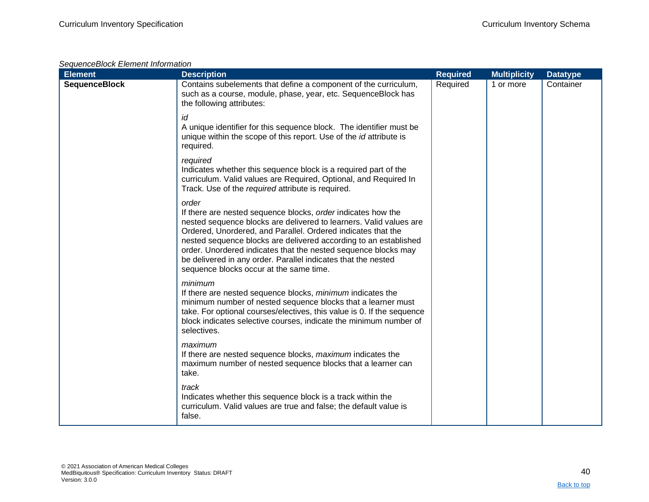| SequenceBlock Element Information |  |
|-----------------------------------|--|
|-----------------------------------|--|

| <b>Element</b>       | <b>Description</b>                                                                                                                                                                                                                                                                                                                                                                                                                                            | <b>Required</b> | <b>Multiplicity</b> | <b>Datatype</b> |
|----------------------|---------------------------------------------------------------------------------------------------------------------------------------------------------------------------------------------------------------------------------------------------------------------------------------------------------------------------------------------------------------------------------------------------------------------------------------------------------------|-----------------|---------------------|-----------------|
| <b>SequenceBlock</b> | Contains subelements that define a component of the curriculum,<br>such as a course, module, phase, year, etc. SequenceBlock has<br>the following attributes:                                                                                                                                                                                                                                                                                                 | Required        | 1 or more           | Container       |
|                      | id<br>A unique identifier for this sequence block. The identifier must be<br>unique within the scope of this report. Use of the <i>id</i> attribute is<br>required.                                                                                                                                                                                                                                                                                           |                 |                     |                 |
|                      | required<br>Indicates whether this sequence block is a required part of the<br>curriculum. Valid values are Required, Optional, and Required In<br>Track. Use of the required attribute is required.                                                                                                                                                                                                                                                          |                 |                     |                 |
|                      | order<br>If there are nested sequence blocks, order indicates how the<br>nested sequence blocks are delivered to learners. Valid values are<br>Ordered, Unordered, and Parallel. Ordered indicates that the<br>nested sequence blocks are delivered according to an established<br>order. Unordered indicates that the nested sequence blocks may<br>be delivered in any order. Parallel indicates that the nested<br>sequence blocks occur at the same time. |                 |                     |                 |
|                      | minimum<br>If there are nested sequence blocks, minimum indicates the<br>minimum number of nested sequence blocks that a learner must<br>take. For optional courses/electives, this value is 0. If the sequence<br>block indicates selective courses, indicate the minimum number of<br>selectives.                                                                                                                                                           |                 |                     |                 |
|                      | maximum<br>If there are nested sequence blocks, maximum indicates the<br>maximum number of nested sequence blocks that a learner can<br>take.                                                                                                                                                                                                                                                                                                                 |                 |                     |                 |
|                      | track<br>Indicates whether this sequence block is a track within the<br>curriculum. Valid values are true and false; the default value is<br>false.                                                                                                                                                                                                                                                                                                           |                 |                     |                 |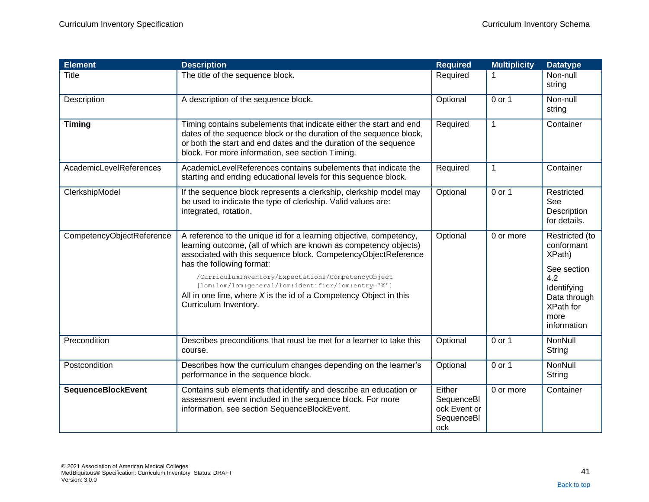| <b>Element</b>            | <b>Description</b>                                                                                                                                                                                                                                                                                                                                                                                                                                | <b>Required</b>                                           | <b>Multiplicity</b> | <b>Datatype</b>                                                                                                                 |
|---------------------------|---------------------------------------------------------------------------------------------------------------------------------------------------------------------------------------------------------------------------------------------------------------------------------------------------------------------------------------------------------------------------------------------------------------------------------------------------|-----------------------------------------------------------|---------------------|---------------------------------------------------------------------------------------------------------------------------------|
| Title                     | The title of the sequence block.                                                                                                                                                                                                                                                                                                                                                                                                                  | Required                                                  |                     | Non-null<br>string                                                                                                              |
| Description               | A description of the sequence block.                                                                                                                                                                                                                                                                                                                                                                                                              | Optional                                                  | 0 or 1              | Non-null<br>string                                                                                                              |
| <b>Timing</b>             | Timing contains subelements that indicate either the start and end<br>dates of the sequence block or the duration of the sequence block,<br>or both the start and end dates and the duration of the sequence<br>block. For more information, see section Timing.                                                                                                                                                                                  | Required                                                  | $\mathbf{1}$        | Container                                                                                                                       |
| AcademicLevelReferences   | AcademicLevelReferences contains subelements that indicate the<br>starting and ending educational levels for this sequence block.                                                                                                                                                                                                                                                                                                                 | Required                                                  | 1                   | Container                                                                                                                       |
| ClerkshipModel            | If the sequence block represents a clerkship, clerkship model may<br>be used to indicate the type of clerkship. Valid values are:<br>integrated, rotation.                                                                                                                                                                                                                                                                                        | Optional                                                  | 0 or 1              | Restricted<br>See<br>Description<br>for details.                                                                                |
| CompetencyObjectReference | A reference to the unique id for a learning objective, competency,<br>learning outcome, (all of which are known as competency objects)<br>associated with this sequence block. CompetencyObjectReference<br>has the following format:<br>/CurriculumInventory/Expectations/CompetencyObject<br>[lom:lom/lom:general/lom:identifier/lom:entry='X']<br>All in one line, where $X$ is the id of a Competency Object in this<br>Curriculum Inventory. | Optional                                                  | 0 or more           | Restricted (to<br>conformant<br>XPath)<br>See section<br>4.2<br>Identifying<br>Data through<br>XPath for<br>more<br>information |
| Precondition              | Describes preconditions that must be met for a learner to take this<br>course.                                                                                                                                                                                                                                                                                                                                                                    | Optional                                                  | 0 or 1              | NonNull<br>String                                                                                                               |
| Postcondition             | Describes how the curriculum changes depending on the learner's<br>performance in the sequence block.                                                                                                                                                                                                                                                                                                                                             | Optional                                                  | 0 or 1              | NonNull<br>String                                                                                                               |
| <b>SequenceBlockEvent</b> | Contains sub elements that identify and describe an education or<br>assessment event included in the sequence block. For more<br>information, see section SequenceBlockEvent.                                                                                                                                                                                                                                                                     | Either<br>SequenceBI<br>ock Event or<br>SequenceBI<br>ock | 0 or more           | Container                                                                                                                       |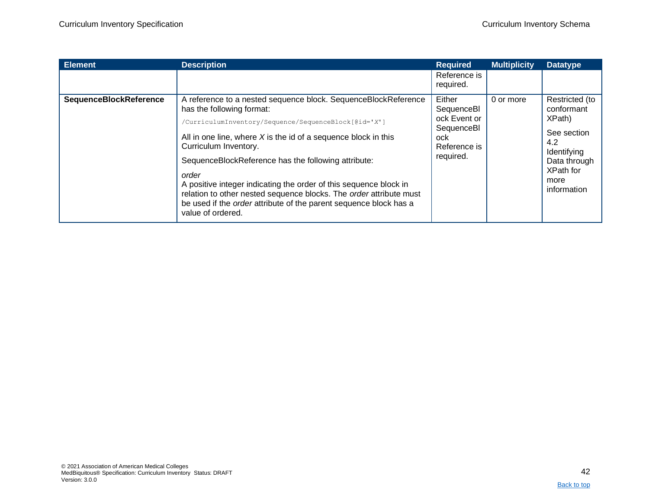| <b>Element</b>         | <b>Description</b>                                                                                                                                                                                                                                                                                                                                                                                                                                                                                                                                           | <b>Required</b>                                                                         | <b>Multiplicity</b> | <b>Datatype</b>                                                                                                                        |
|------------------------|--------------------------------------------------------------------------------------------------------------------------------------------------------------------------------------------------------------------------------------------------------------------------------------------------------------------------------------------------------------------------------------------------------------------------------------------------------------------------------------------------------------------------------------------------------------|-----------------------------------------------------------------------------------------|---------------------|----------------------------------------------------------------------------------------------------------------------------------------|
|                        |                                                                                                                                                                                                                                                                                                                                                                                                                                                                                                                                                              | Reference is<br>required.                                                               |                     |                                                                                                                                        |
| SequenceBlockReference | A reference to a nested sequence block. SequenceBlockReference<br>has the following format:<br>/CurriculumInventory/Sequence/SequenceBlock[@id='X']<br>All in one line, where $X$ is the id of a sequence block in this<br>Curriculum Inventory.<br>SequenceBlockReference has the following attribute:<br>order<br>A positive integer indicating the order of this sequence block in<br>relation to other nested sequence blocks. The order attribute must<br>be used if the <i>order</i> attribute of the parent sequence block has a<br>value of ordered. | Either<br>SequenceBI<br>ock Event or<br>SequenceBI<br>ock.<br>Reference is<br>required. | 0 or more           | Restricted (to<br>conformant<br>XPath)<br>See section<br>4.2<br>Identifying<br>Data through<br><b>XPath for</b><br>more<br>information |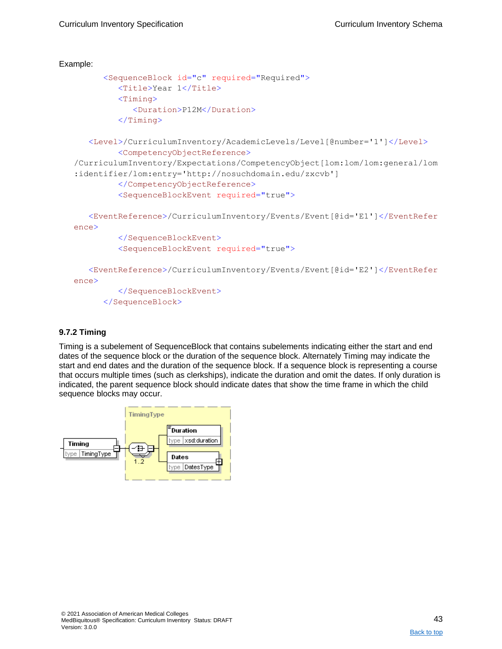```
Example: 
         <SequenceBlock id="c" required="Required">
            <Title>Year 1</Title>
            <Timing><Duration>P12M</Duration>
            \langleTiming>
      <Level>/CurriculumInventory/AcademicLevels/Level[@number='1']</Level>
            <CompetencyObjectReference>
   /CurriculumInventory/Expectations/CompetencyObject[lom:lom/lom:general/lom
   :identifier/lom:entry='http://nosuchdomain.edu/zxcvb']
            </CompetencyObjectReference>
            <SequenceBlockEvent required="true">
      <EventReference>/CurriculumInventory/Events/Event[@id='E1']</EventRefer
   ence>
            </SequenceBlockEvent>
            <SequenceBlockEvent required="true">
      <EventReference>/CurriculumInventory/Events/Event[@id='E2']</EventRefer
   ence>
            </SequenceBlockEvent>
         </SequenceBlock>
```
#### <span id="page-42-0"></span>**9.7.2 Timing**

Timing is a subelement of SequenceBlock that contains subelements indicating either the start and end dates of the sequence block or the duration of the sequence block. Alternately Timing may indicate the start and end dates and the duration of the sequence block. If a sequence block is representing a course that occurs multiple times (such as clerkships), indicate the duration and omit the dates. If only duration is indicated, the parent sequence block should indicate dates that show the time frame in which the child sequence blocks may occur.

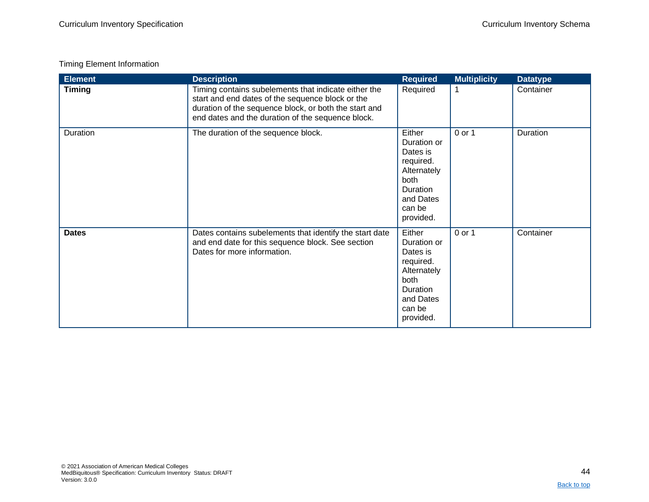### Timing Element Information

| <b>Element</b> | <b>Description</b>                                                                                                                                                                                                     | <b>Required</b>                                                                                                              | <b>Multiplicity</b> | <b>Datatype</b> |
|----------------|------------------------------------------------------------------------------------------------------------------------------------------------------------------------------------------------------------------------|------------------------------------------------------------------------------------------------------------------------------|---------------------|-----------------|
| <b>Timing</b>  | Timing contains subelements that indicate either the<br>start and end dates of the sequence block or the<br>duration of the sequence block, or both the start and<br>end dates and the duration of the sequence block. | Required                                                                                                                     | 1                   | Container       |
| Duration       | The duration of the sequence block.                                                                                                                                                                                    | Either<br>Duration or<br>Dates is<br>required.<br>Alternately<br>both<br><b>Duration</b><br>and Dates<br>can be<br>provided. | 0 or 1              | Duration        |
| <b>Dates</b>   | Dates contains subelements that identify the start date<br>and end date for this sequence block. See section<br>Dates for more information.                                                                            | Either<br>Duration or<br>Dates is<br>required.<br>Alternately<br>both<br>Duration<br>and Dates<br>can be<br>provided.        | 0 or 1              | Container       |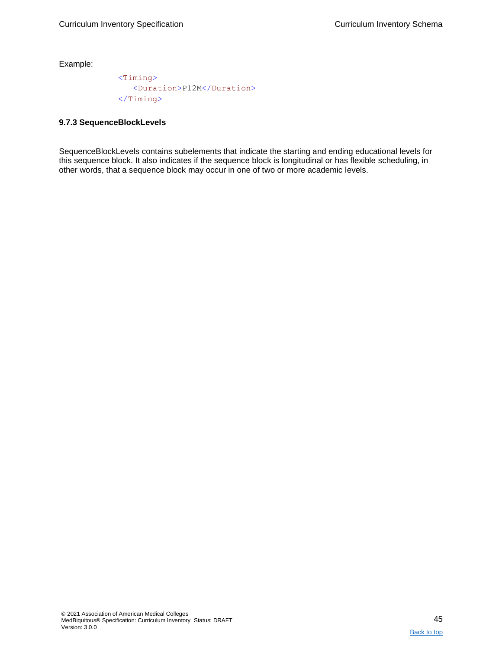<Timing> <Duration>P12M</Duration> </Timing>

#### <span id="page-44-0"></span>**9.7.3 SequenceBlockLevels**

SequenceBlockLevels contains subelements that indicate the starting and ending educational levels for this sequence block. It also indicates if the sequence block is longitudinal or has flexible scheduling, in other words, that a sequence block may occur in one of two or more academic levels.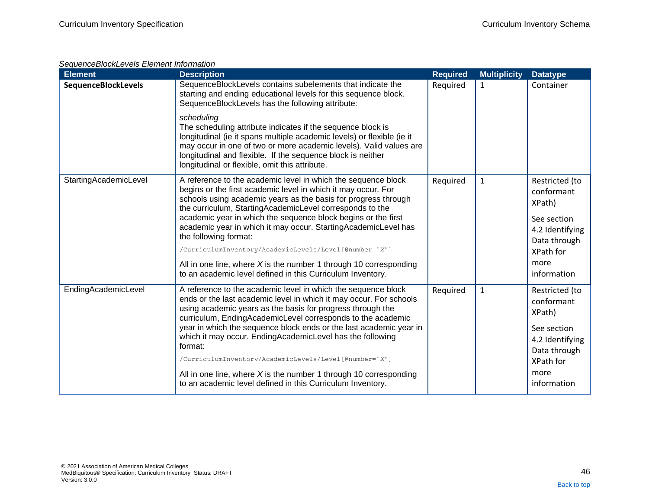### *SequenceBlockLevels Element Information*

| <b>Element</b>             | <b>Description</b>                                                                                                                                                                                                                                                                                                                                                                                             | <b>Required</b> | <b>Multiplicity</b> | <b>Datatype</b>                                                                          |
|----------------------------|----------------------------------------------------------------------------------------------------------------------------------------------------------------------------------------------------------------------------------------------------------------------------------------------------------------------------------------------------------------------------------------------------------------|-----------------|---------------------|------------------------------------------------------------------------------------------|
| <b>SequenceBlockLevels</b> | SequenceBlockLevels contains subelements that indicate the<br>starting and ending educational levels for this sequence block.<br>SequenceBlockLevels has the following attribute:                                                                                                                                                                                                                              | Required        | 1                   | Container                                                                                |
|                            | scheduling<br>The scheduling attribute indicates if the sequence block is<br>longitudinal (ie it spans multiple academic levels) or flexible (ie it<br>may occur in one of two or more academic levels). Valid values are<br>longitudinal and flexible. If the sequence block is neither<br>longitudinal or flexible, omit this attribute.                                                                     |                 |                     |                                                                                          |
| StartingAcademicLevel      | A reference to the academic level in which the sequence block<br>begins or the first academic level in which it may occur. For<br>schools using academic years as the basis for progress through<br>the curriculum, StartingAcademicLevel corresponds to the<br>academic year in which the sequence block begins or the first                                                                                  | Required        | $\mathbf{1}$        | Restricted (to<br>conformant<br>XPath)                                                   |
|                            | academic year in which it may occur. StartingAcademicLevel has<br>the following format:<br>/CurriculumInventory/AcademicLevels/Level[@number='X']                                                                                                                                                                                                                                                              |                 |                     | See section<br>4.2 Identifying<br>Data through<br>XPath for                              |
|                            | All in one line, where $X$ is the number 1 through 10 corresponding<br>to an academic level defined in this Curriculum Inventory.                                                                                                                                                                                                                                                                              |                 |                     | more<br>information                                                                      |
| EndingAcademicLevel        | A reference to the academic level in which the sequence block<br>ends or the last academic level in which it may occur. For schools<br>using academic years as the basis for progress through the<br>curriculum, EndingAcademicLevel corresponds to the academic<br>year in which the sequence block ends or the last academic year in<br>which it may occur. EndingAcademicLevel has the following<br>format: | Required        | $\mathbf 1$         | Restricted (to<br>conformant<br>XPath)<br>See section<br>4.2 Identifying<br>Data through |
|                            | /CurriculumInventory/AcademicLevels/Level[@number='X']<br>All in one line, where $X$ is the number 1 through 10 corresponding<br>to an academic level defined in this Curriculum Inventory.                                                                                                                                                                                                                    |                 |                     | XPath for<br>more<br>information                                                         |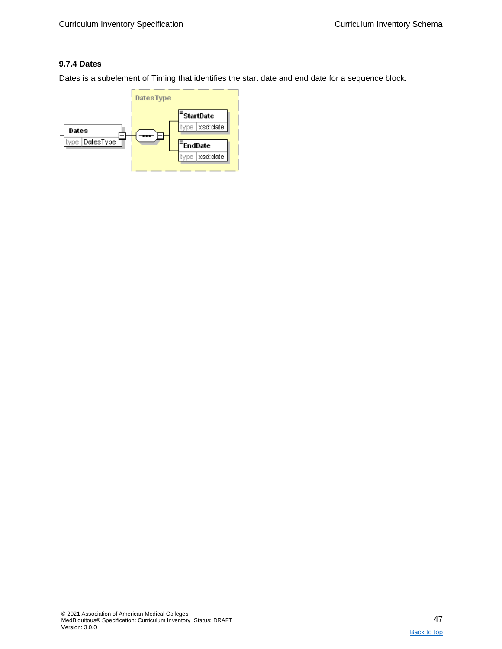### <span id="page-46-0"></span>**9.7.4 Dates**

Dates is a subelement of Timing that identifies the start date and end date for a sequence block.

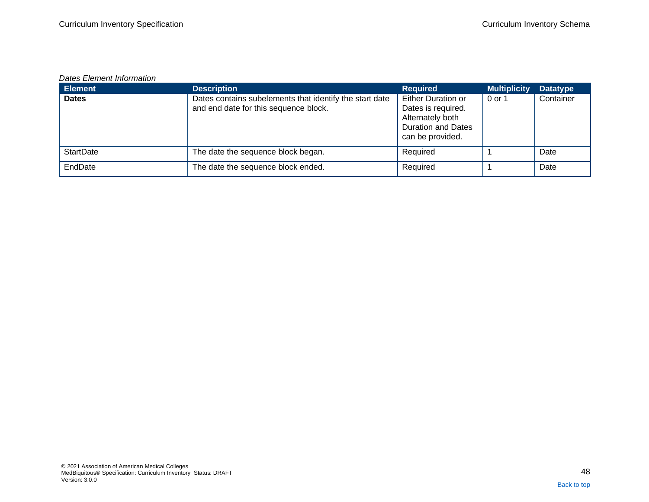#### *Dates Element Information*

| <b>Element</b>   | <b>Description</b>                                                                               | <b>Required</b>                                                                                               | <b>Multiplicity</b> | <b>Datatype</b> |
|------------------|--------------------------------------------------------------------------------------------------|---------------------------------------------------------------------------------------------------------------|---------------------|-----------------|
| <b>Dates</b>     | Dates contains subelements that identify the start date<br>and end date for this sequence block. | Either Duration or<br>Dates is required.<br>Alternately both<br><b>Duration and Dates</b><br>can be provided. | 0 or 1              | Container       |
| <b>StartDate</b> | The date the sequence block began.                                                               | Required                                                                                                      |                     | Date            |
| EndDate          | The date the sequence block ended.                                                               | Required                                                                                                      |                     | Date            |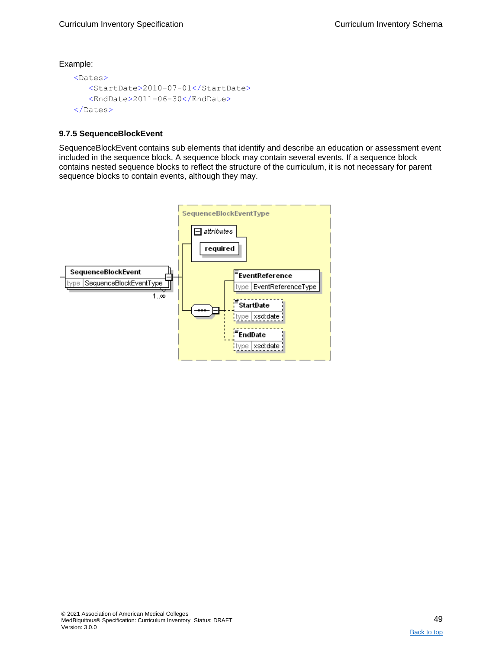```
<Dates>
  <StartDate>2010-07-01</StartDate>
   <EndDate>2011-06-30</EndDate>
</Dates>
```
#### <span id="page-48-0"></span>**9.7.5 SequenceBlockEvent**

SequenceBlockEvent contains sub elements that identify and describe an education or assessment event included in the sequence block. A sequence block may contain several events. If a sequence block contains nested sequence blocks to reflect the structure of the curriculum, it is not necessary for parent sequence blocks to contain events, although they may.

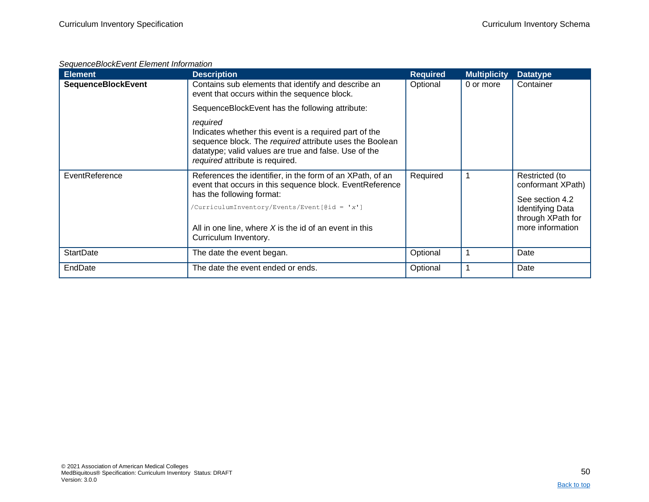### *SequenceBlockEvent Element Information*

| <b>Element</b>            | <b>Description</b>                                                                                                                                                                                                        | <b>Required</b> | <b>Multiplicity</b> | <b>Datatype</b>                                                  |
|---------------------------|---------------------------------------------------------------------------------------------------------------------------------------------------------------------------------------------------------------------------|-----------------|---------------------|------------------------------------------------------------------|
| <b>SequenceBlockEvent</b> | Contains sub elements that identify and describe an<br>event that occurs within the sequence block.                                                                                                                       | Optional        | 0 or more           | Container                                                        |
|                           | SequenceBlockEvent has the following attribute:                                                                                                                                                                           |                 |                     |                                                                  |
|                           | required<br>Indicates whether this event is a required part of the<br>sequence block. The required attribute uses the Boolean<br>datatype; valid values are true and false. Use of the<br>required attribute is required. |                 |                     |                                                                  |
| EventReference            | References the identifier, in the form of an XPath, of an<br>event that occurs in this sequence block. EventReference                                                                                                     | Required        |                     | Restricted (to<br>conformant XPath)                              |
|                           | has the following format:                                                                                                                                                                                                 |                 |                     | See section 4.2                                                  |
|                           | /CurriculumInventory/Events/Event[@id = 'x']<br>All in one line, where $X$ is the id of an event in this                                                                                                                  |                 |                     | <b>Identifying Data</b><br>through XPath for<br>more information |
|                           | Curriculum Inventory.                                                                                                                                                                                                     |                 |                     |                                                                  |
| <b>StartDate</b>          | The date the event began.                                                                                                                                                                                                 | Optional        |                     | Date                                                             |
| EndDate                   | The date the event ended or ends.                                                                                                                                                                                         | Optional        |                     | Date                                                             |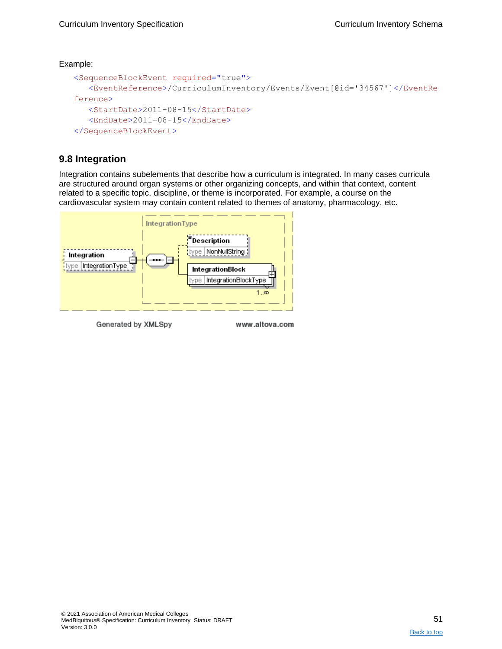```
<SequenceBlockEvent required="true">
   <EventReference>/CurriculumInventory/Events/Event[@id='34567']</EventRe
ference>
   <StartDate>2011-08-15</StartDate>
   <EndDate>2011-08-15</EndDate>
</SequenceBlockEvent>
```
## <span id="page-50-0"></span>**9.8 Integration**

Integration contains subelements that describe how a curriculum is integrated. In many cases curricula are structured around organ systems or other organizing concepts, and within that context, content related to a specific topic, discipline, or theme is incorporated. For example, a course on the cardiovascular system may contain content related to themes of anatomy, pharmacology, etc.



Generated by XMLSpy

www.altova.com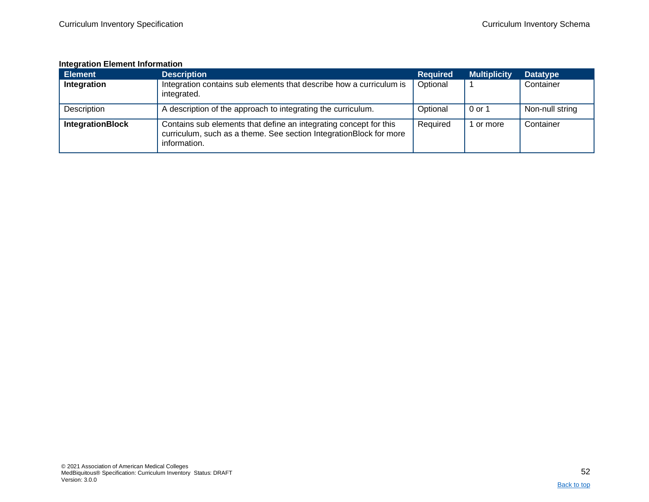#### **Integration Element Information**

<span id="page-51-0"></span>

| <b>Element</b>          | <b>Description</b>                                                                                                                                      | <b>Required</b> | <b>Multiplicity</b> | <b>Datatype</b> |
|-------------------------|---------------------------------------------------------------------------------------------------------------------------------------------------------|-----------------|---------------------|-----------------|
| Integration             | Integration contains sub elements that describe how a curriculum is<br>integrated.                                                                      | Optional        |                     | Container       |
| Description             | A description of the approach to integrating the curriculum.                                                                                            | Optional        | 0 or 1              | Non-null string |
| <b>IntegrationBlock</b> | Contains sub elements that define an integrating concept for this<br>curriculum, such as a theme. See section IntegrationBlock for more<br>information. | Required        | or more             | Container       |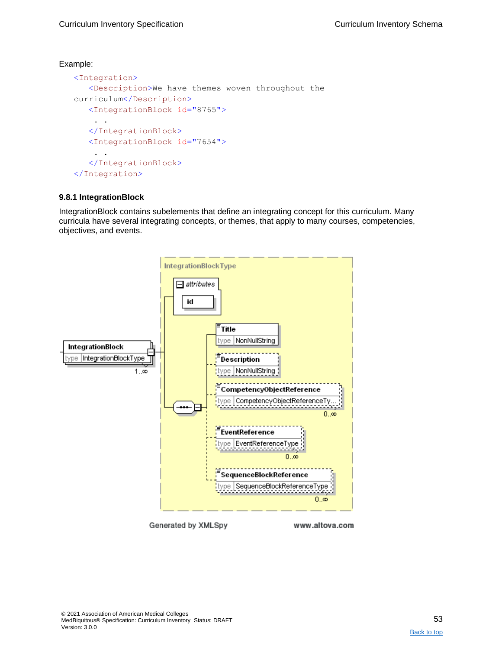```
<Integration>
   <Description>We have themes woven throughout the 
curriculum</Description>
   <IntegrationBlock id="8765">
    . . 
   </IntegrationBlock>
   <IntegrationBlock id="7654">
    . . 
   </IntegrationBlock>
</Integration>
```
#### <span id="page-52-0"></span>**9.8.1 IntegrationBlock**

IntegrationBlock contains subelements that define an integrating concept for this curriculum. Many curricula have several integrating concepts, or themes, that apply to many courses, competencies, objectives, and events.



Generated by XMLSpy

www.altova.com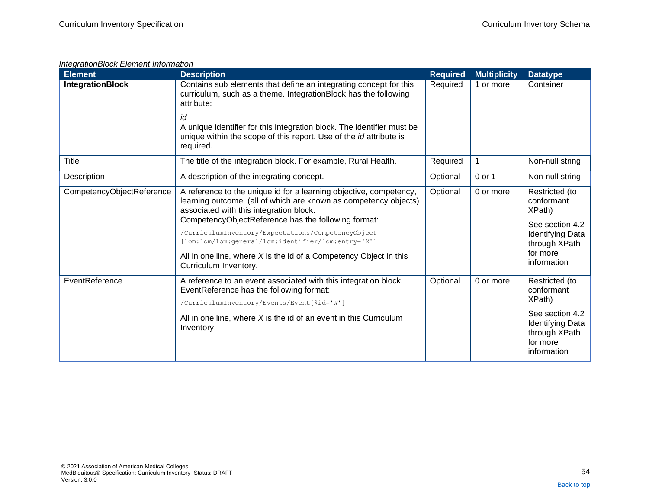### *IntegrationBlock Element Information*

| <b>Element</b>            | <b>Description</b>                                                                                                                                                                                                                                                                                                                                                                                                          | <b>Required</b> | <b>Multiplicity</b> | <b>Datatype</b>                                                                                                                  |
|---------------------------|-----------------------------------------------------------------------------------------------------------------------------------------------------------------------------------------------------------------------------------------------------------------------------------------------------------------------------------------------------------------------------------------------------------------------------|-----------------|---------------------|----------------------------------------------------------------------------------------------------------------------------------|
| <b>IntegrationBlock</b>   | Contains sub elements that define an integrating concept for this<br>curriculum, such as a theme. IntegrationBlock has the following<br>attribute:                                                                                                                                                                                                                                                                          | Required        | 1 or more           | Container                                                                                                                        |
|                           | id<br>A unique identifier for this integration block. The identifier must be<br>unique within the scope of this report. Use of the id attribute is<br>required.                                                                                                                                                                                                                                                             |                 |                     |                                                                                                                                  |
| <b>Title</b>              | The title of the integration block. For example, Rural Health.                                                                                                                                                                                                                                                                                                                                                              | Required        | 1                   | Non-null string                                                                                                                  |
| Description               | A description of the integrating concept.                                                                                                                                                                                                                                                                                                                                                                                   | Optional        | 0 or 1              | Non-null string                                                                                                                  |
| CompetencyObjectReference | A reference to the unique id for a learning objective, competency,<br>learning outcome, (all of which are known as competency objects)<br>associated with this integration block.<br>CompetencyObjectReference has the following format:<br>/CurriculumInventory/Expectations/CompetencyObject<br>[lom:lom/lom:general/lom:identifier/lom:entry='X']<br>All in one line, where $X$ is the id of a Competency Object in this | Optional        | 0 or more           | Restricted (to<br>conformant<br>XPath)<br>See section 4.2<br><b>Identifying Data</b><br>through XPath<br>for more<br>information |
|                           | Curriculum Inventory.                                                                                                                                                                                                                                                                                                                                                                                                       |                 |                     |                                                                                                                                  |
| EventReference            | A reference to an event associated with this integration block.<br>EventReference has the following format:<br>/CurriculumInventory/Events/Event[@id='X']                                                                                                                                                                                                                                                                   | Optional        | 0 or more           | Restricted (to<br>conformant<br>XPath)                                                                                           |
|                           | All in one line, where $X$ is the id of an event in this Curriculum<br>Inventory.                                                                                                                                                                                                                                                                                                                                           |                 |                     | See section 4.2<br><b>Identifying Data</b><br>through XPath<br>for more<br>information                                           |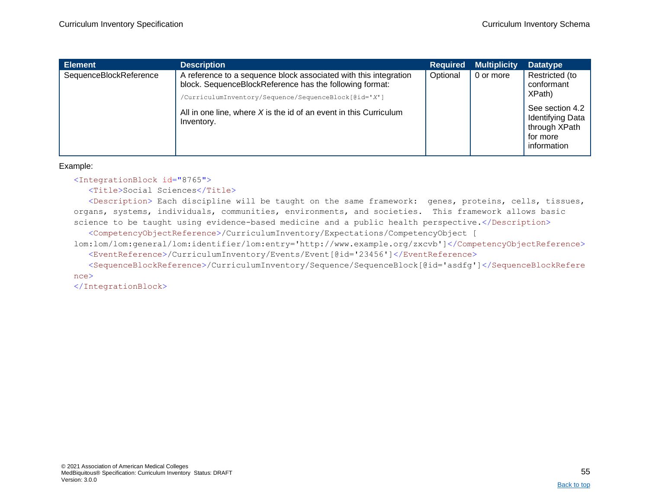| <b>Element</b>         | <b>Description</b>                                                                                                                                                                  | <b>Required</b> | <b>Multiplicity</b> | <b>Datatype</b>                                                                        |
|------------------------|-------------------------------------------------------------------------------------------------------------------------------------------------------------------------------------|-----------------|---------------------|----------------------------------------------------------------------------------------|
| SequenceBlockReference | A reference to a sequence block associated with this integration<br>block. SequenceBlockReference has the following format:<br>/CurriculumInventory/Sequence/SequenceBlock[@id='X'] | Optional        | 0 or more           | Restricted (to<br>conformant<br>XPath)                                                 |
|                        | All in one line, where $X$ is the id of an event in this Curriculum<br>Inventory.                                                                                                   |                 |                     | See section 4.2<br><b>Identifying Data</b><br>through XPath<br>for more<br>information |

<IntegrationBlock id="8765">

<Title>Social Sciences</Title>

<Description> Each discipline will be taught on the same framework: genes, proteins, cells, tissues, organs, systems, individuals, communities, environments, and societies. This framework allows basic science to be taught using evidence-based medicine and a public health perspective.</Description> <CompetencyObjectReference>/CurriculumInventory/Expectations/CompetencyObject [

lom:lom/lom:general/lom:identifier/lom:entry='http://www.example.org/zxcvb']</CompetencyObjectReference> <EventReference>/CurriculumInventory/Events/Event[@id='23456']</EventReference>

<SequenceBlockReference>/CurriculumInventory/Sequence/SequenceBlock[@id='asdfg']</SequenceBlockRefere nce>

</IntegrationBlock>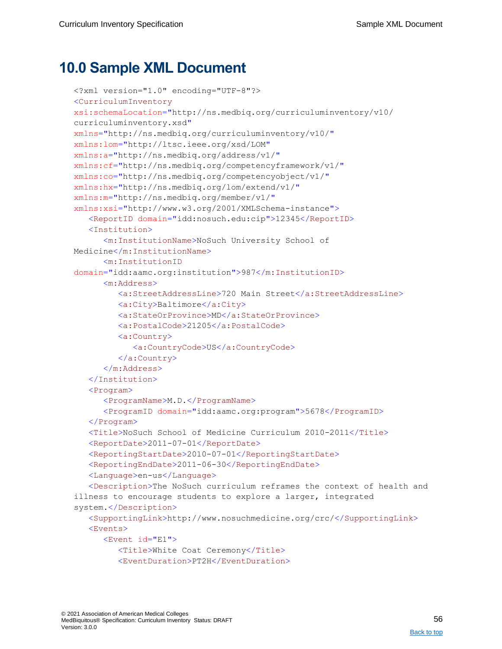## <span id="page-55-0"></span>**10.0 Sample XML Document**

```
<?xml version="1.0" encoding="UTF-8"?>
<CurriculumInventory
xsi:schemaLocation="http://ns.medbiq.org/curriculuminventory/v10/ 
curriculuminventory.xsd"
xmlns="http://ns.medbiq.org/curriculuminventory/v10/"
xmlns:lom="http://ltsc.ieee.org/xsd/LOM"
xmlns:a="http://ns.medbiq.org/address/v1/"
xmlns:cf="http://ns.medbiq.org/competencyframework/v1/"
xmlns:co="http://ns.medbiq.org/competencyobject/v1/"
xmlns:hx="http://ns.medbiq.org/lom/extend/v1/"
xmlns:m="http://ns.medbiq.org/member/v1/"
xmlns:xsi="http://www.w3.org/2001/XMLSchema-instance">
   <ReportID domain="idd:nosuch.edu:cip">12345</ReportID>
   <Institution>
      <m:InstitutionName>NoSuch University School of 
Medicine</m:InstitutionName>
      <m:InstitutionID
domain="idd:aamc.org:institution">987</m:InstitutionID>
      <m:Address>
         <a:StreetAddressLine>720 Main Street</a:StreetAddressLine>
         <a:City>Baltimore</a:City>
         <a:StateOrProvince>MD</a:StateOrProvince>
         <a:PostalCode>21205</a:PostalCode>
         <a:Country>
            <a:CountryCode>US</a:CountryCode>
         </a:Country>
      </m:Address>
   </Institution>
   <Program>
      <ProgramName>M.D.</ProgramName>
      <ProgramID domain="idd:aamc.org:program">5678</ProgramID>
   </Program>
   <Title>NoSuch School of Medicine Curriculum 2010-2011</Title>
   <ReportDate>2011-07-01</ReportDate>
   <ReportingStartDate>2010-07-01</ReportingStartDate>
   <ReportingEndDate>2011-06-30</ReportingEndDate>
   <Language>en-us</Language>
   <Description>The NoSuch curriculum reframes the context of health and 
illness to encourage students to explore a larger, integrated 
system.</Description>
   <SupportingLink>http://www.nosuchmedicine.org/crc/</SupportingLink>
   <Events>
      <Event id="E1">
         <Title>White Coat Ceremony</Title>
         <EventDuration>PT2H</EventDuration>
```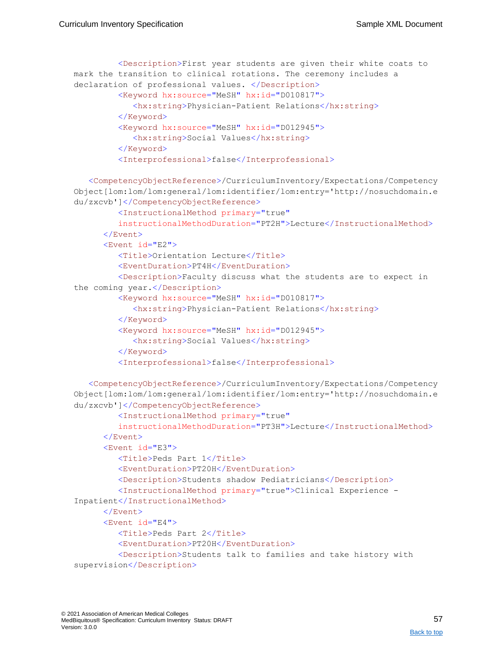```
<Description>First year students are given their white coats to 
mark the transition to clinical rotations. The ceremony includes a 
declaration of professional values. </Description>
         <Keyword hx:source="MeSH" hx:id="D010817">
            <hx:string>Physician-Patient Relations</hx:string>
         </Keyword>
         <Keyword hx:source="MeSH" hx:id="D012945">
            <hx:string>Social Values</hx:string>
         </Keyword>
         <Interprofessional>false</Interprofessional>
   <CompetencyObjectReference>/CurriculumInventory/Expectations/Competency
Object[lom:lom/lom:general/lom:identifier/lom:entry='http://nosuchdomain.e
du/zxcvb']</CompetencyObjectReference>
         <InstructionalMethod primary="true" 
         instructionalMethodDuration="PT2H">Lecture</InstructionalMethod>
      </Event>
      <Event id="E2">
         <Title>Orientation Lecture</Title>
         <EventDuration>PT4H</EventDuration>
         <Description>Faculty discuss what the students are to expect in 
the coming year.</Description>
         <Keyword hx:source="MeSH" hx:id="D010817">
            <hx:string>Physician-Patient Relations</hx:string>
         </Keyword>
         <Keyword hx:source="MeSH" hx:id="D012945">
            <hx:string>Social Values</hx:string>
         </Keyword>
         <Interprofessional>false</Interprofessional>
   <CompetencyObjectReference>/CurriculumInventory/Expectations/Competency
Object[lom:lom/lom:general/lom:identifier/lom:entry='http://nosuchdomain.e
du/zxcvb']</CompetencyObjectReference>
         <InstructionalMethod primary="true"
         instructionalMethodDuration="PT3H">Lecture</InstructionalMethod>
      </Event>
      <Event id="E3">
         <Title>Peds Part 1</Title>
         <EventDuration>PT20H</EventDuration>
         <Description>Students shadow Pediatricians</Description>
         <InstructionalMethod primary="true">Clinical Experience -
Inpatient</InstructionalMethod>
      </Event>
```
<Event id="E4">

<Title>Peds Part 2</Title>

<EventDuration>PT20H</EventDuration>

```
<Description>Students talk to families and take history with
```

```
supervision</Description>
```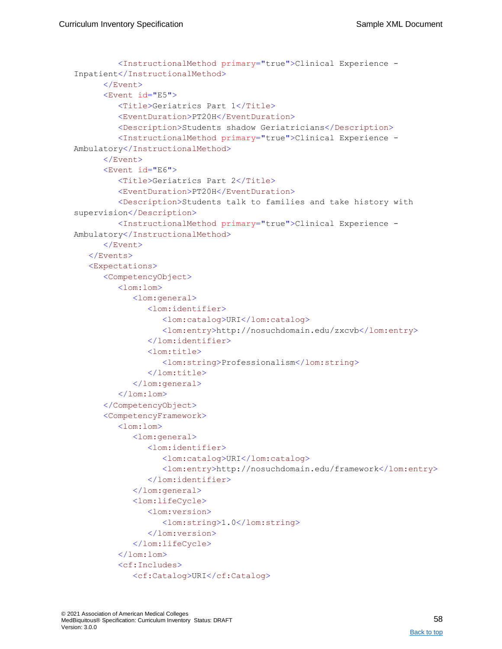```
<InstructionalMethod primary="true">Clinical Experience -
Inpatient</InstructionalMethod>
      </Event>
      <Event id="E5">
         <Title>Geriatrics Part 1</Title>
         <EventDuration>PT20H</EventDuration>
         <Description>Students shadow Geriatricians</Description>
         <InstructionalMethod primary="true">Clinical Experience -
Ambulatory</InstructionalMethod>
      </Event>
      <Event id="E6">
         <Title>Geriatrics Part 2</Title>
         <EventDuration>PT20H</EventDuration>
         <Description>Students talk to families and take history with 
supervision</Description>
         <InstructionalMethod primary="true">Clinical Experience -
Ambulatory</InstructionalMethod>
      </Event>
   </Events>
   <Expectations>
      <CompetencyObject>
         <lom:lom>
            <lom:general>
               <lom:identifier>
                  <lom:catalog>URI</lom:catalog>
                  <lom:entry>http://nosuchdomain.edu/zxcvb</lom:entry>
               </lom:identifier>
               <lom:title>
                  <lom:string>Professionalism</lom:string>
               </lom:title>
            </lom:general>
         \langlelom:lom>
      </CompetencyObject>
      <CompetencyFramework>
         <lom:lom>
            <lom:general>
               <lom:identifier>
                  <lom:catalog>URI</lom:catalog>
                  <lom:entry>http://nosuchdomain.edu/framework</lom:entry>
               </lom:identifier>
            </lom:general>
            <lom:lifeCycle>
               <lom:version>
                  <lom:string>1.0</lom:string>
               </lom:version>
            </lom:lifeCycle>
         \langle/lom:lom>
         <cf:Includes>
            <cf:Catalog>URI</cf:Catalog>
```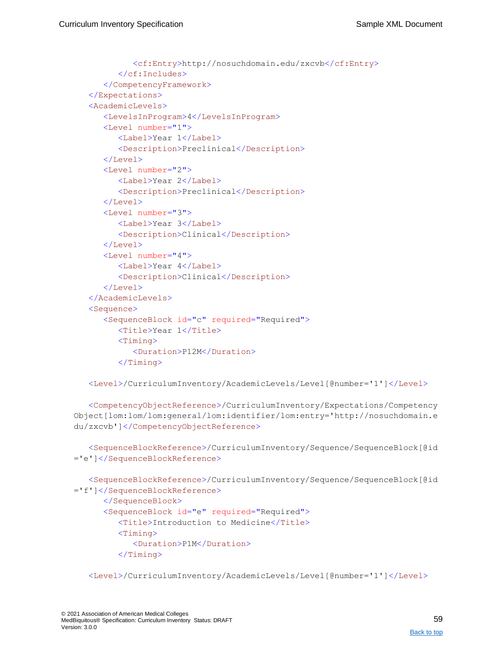```
<cf:Entry>http://nosuchdomain.edu/zxcvb</cf:Entry>
      </cf:Includes>
   </CompetencyFramework>
</Expectations>
<AcademicLevels>
   <LevelsInProgram>4</LevelsInProgram>
  <Level number="1">
      <Label>Year 1</Label>
      <Description>Preclinical</Description>
   </Level>
   <Level number="2">
      <Label>Year 2</Label>
      <Description>Preclinical</Description>
  </Level>
   <Level number="3">
      <Label>Year 3</Label>
      <Description>Clinical</Description>
   </Level>
   <Level number="4">
      <Label>Year 4</Label>
      <Description>Clinical</Description>
   </Level>
</AcademicLevels>
<Sequence>
   <SequenceBlock id="c" required="Required">
      <Title>Year 1</Title>
      <Timing><Duration>P12M</Duration>
      \langleTiming>
```
<Level>/CurriculumInventory/AcademicLevels/Level[@number='1']</Level>

<CompetencyObjectReference>/CurriculumInventory/Expectations/Competency Object[lom:lom/lom:general/lom:identifier/lom:entry='http://nosuchdomain.e du/zxcvb']</CompetencyObjectReference>

<SequenceBlockReference>/CurriculumInventory/Sequence/SequenceBlock[@id ='e']</SequenceBlockReference>

```
<SequenceBlockReference>/CurriculumInventory/Sequence/SequenceBlock[@id
='f']</SequenceBlockReference>
      </SequenceBlock>
      <SequenceBlock id="e" required="Required">
         <Title>Introduction to Medicine</Title>
         <Timing><Duration>P1M</Duration>
         \langleTiming>
```
<Level>/CurriculumInventory/AcademicLevels/Level[@number='1']</Level>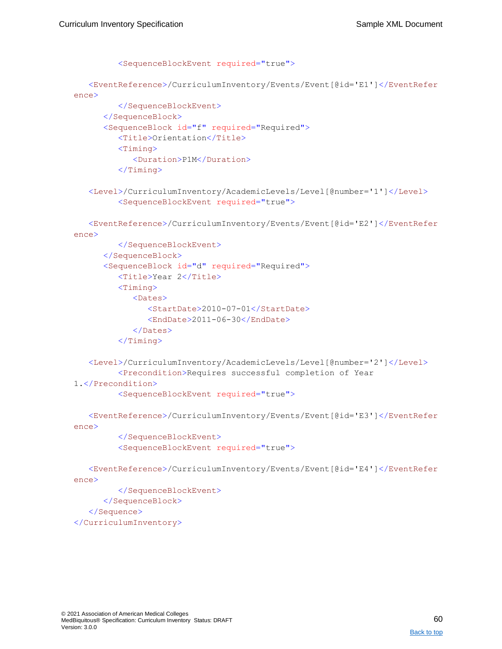```
<SequenceBlockEvent required="true">
   <EventReference>/CurriculumInventory/Events/Event[@id='E1']</EventRefer
ence>
         </SequenceBlockEvent>
      </SequenceBlock>
      <SequenceBlock id="f" required="Required">
         <Title>Orientation</Title>
         <Timing><Duration>P1M</Duration>
         \langleTiming>
   <Level>/CurriculumInventory/AcademicLevels/Level[@number='1']</Level>
         <SequenceBlockEvent required="true">
   <EventReference>/CurriculumInventory/Events/Event[@id='E2']</EventRefer
ence>
         </SequenceBlockEvent>
      </SequenceBlock>
      <SequenceBlock id="d" required="Required">
         <Title>Year 2</Title>
         <Timing><Dates>
               <StartDate>2010-07-01</StartDate>
               <EndDate>2011-06-30</EndDate>
            </Dates>
         </Timing>
   <Level>/CurriculumInventory/AcademicLevels/Level[@number='2']</Level>
         <Precondition>Requires successful completion of Year 
1.</Precondition>
         <SequenceBlockEvent required="true">
   <EventReference>/CurriculumInventory/Events/Event[@id='E3']</EventRefer
ence>
         </SequenceBlockEvent>
         <SequenceBlockEvent required="true">
   <EventReference>/CurriculumInventory/Events/Event[@id='E4']</EventRefer
ence>
         </SequenceBlockEvent>
      </SequenceBlock>
   </Sequence>
</CurriculumInventory>
```